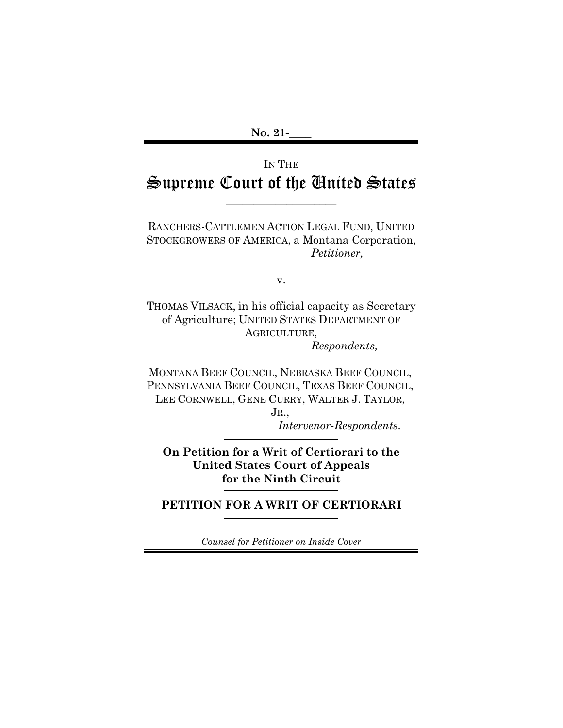# IN THE Supreme Court of the United States

 $\overline{\phantom{a}}$  , where  $\overline{\phantom{a}}$  , where  $\overline{\phantom{a}}$ 

RANCHERS-CATTLEMEN ACTION LEGAL FUND, UNITED STOCKGROWERS OF AMERICA, a Montana Corporation, *Petitioner,*

v.

THOMAS VILSACK, in his official capacity as Secretary of Agriculture; UNITED STATES DEPARTMENT OF AGRICULTURE, *Respondents,*

MONTANA BEEF COUNCIL, NEBRASKA BEEF COUNCIL, PENNSYLVANIA BEEF COUNCIL, TEXAS BEEF COUNCIL, LEE CORNWELL, GENE CURRY, WALTER J. TAYLOR,

> JR., *Intervenor-Respondents.*

**On Petition for a Writ of Certiorari to the United States Court of Appeals for the Ninth Circuit**

**PETITION FOR A WRIT OF CERTIORARI**

*Counsel for Petitioner on Inside Cover*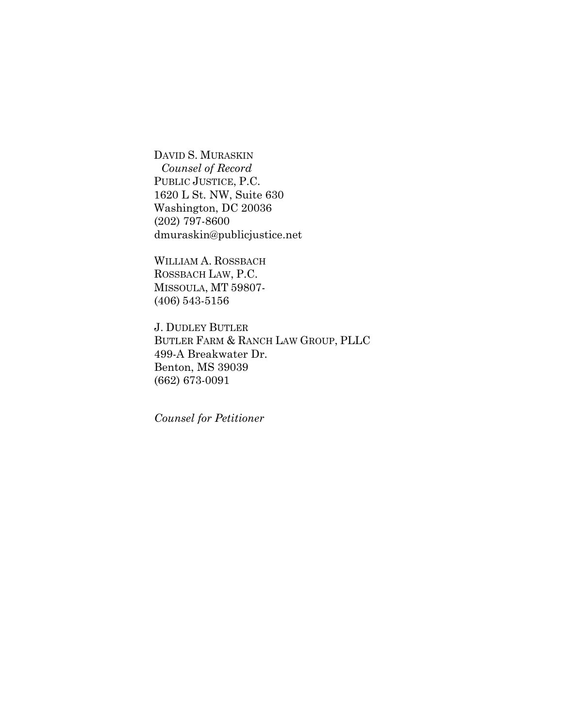DAVID S. MURASKIN *Counsel of Record* PUBLIC JUSTICE, P.C. 1620 L St. NW, Suite 630 Washington, DC 20036 (202) 797-8600 dmuraskin@publicjustice.net

WILLIAM A. ROSSBACH ROSSBACH LAW, P.C. MISSOULA, MT 59807- (406) 543-5156

J. DUDLEY BUTLER BUTLER FARM & RANCH LAW GROUP, PLLC 499-A Breakwater Dr. Benton, MS 39039 (662) 673-0091

*Counsel for Petitioner*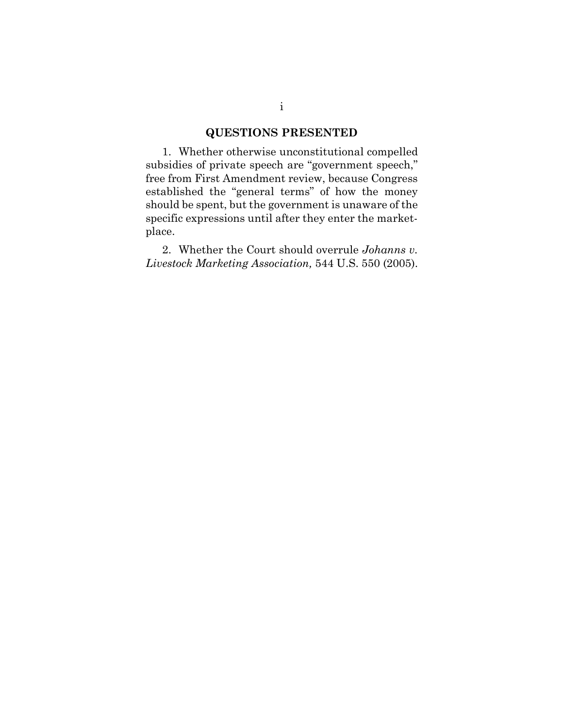### **QUESTIONS PRESENTED**

1. Whether otherwise unconstitutional compelled subsidies of private speech are "government speech," free from First Amendment review, because Congress established the "general terms" of how the money should be spent, but the government is unaware of the specific expressions until after they enter the marketplace.

2. Whether the Court should overrule *Johanns v. Livestock Marketing Association,* 544 U.S. 550 (2005).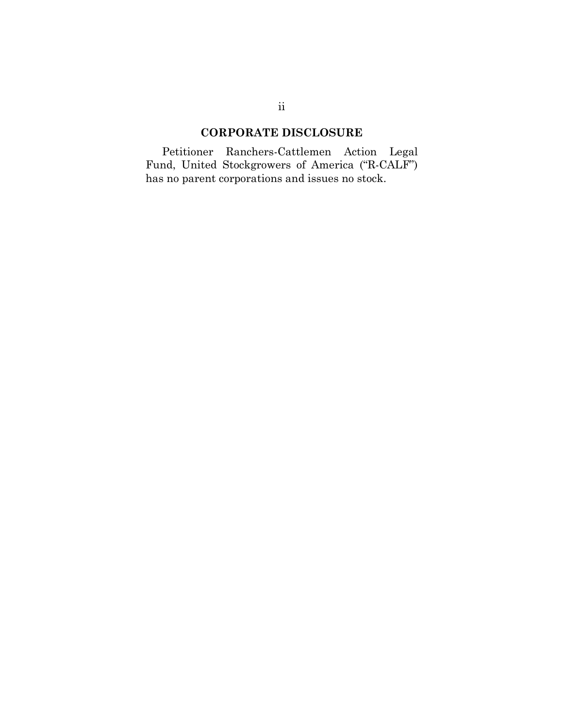## **CORPORATE DISCLOSURE**

Petitioner Ranchers-Cattlemen Action Legal Fund, United Stockgrowers of America ("R-CALF") has no parent corporations and issues no stock.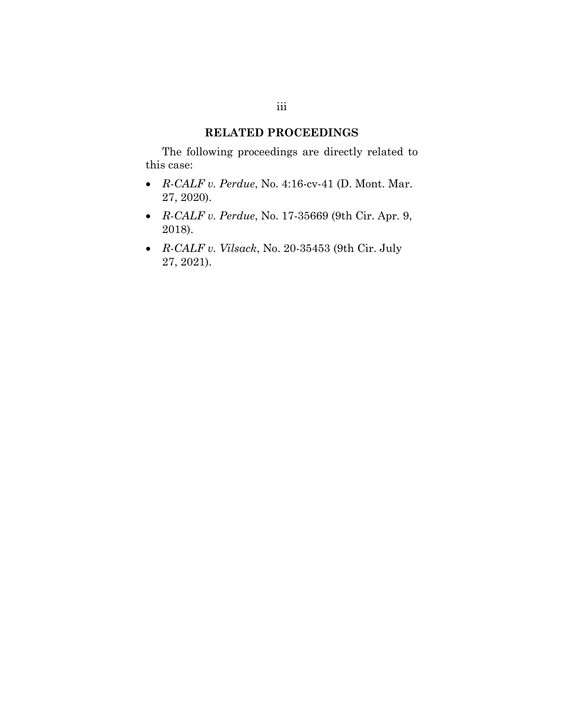#### **RELATED PROCEEDINGS**

The following proceedings are directly related to this case:

- *R-CALF v. Perdue*, No. 4:16-cv-41 (D. Mont. Mar. 27, 2020).
- *R-CALF v. Perdue*, No. 17-35669 (9th Cir. Apr. 9, 2018).
- *R-CALF v. Vilsack*, No. 20-35453 (9th Cir. July 27, 2021).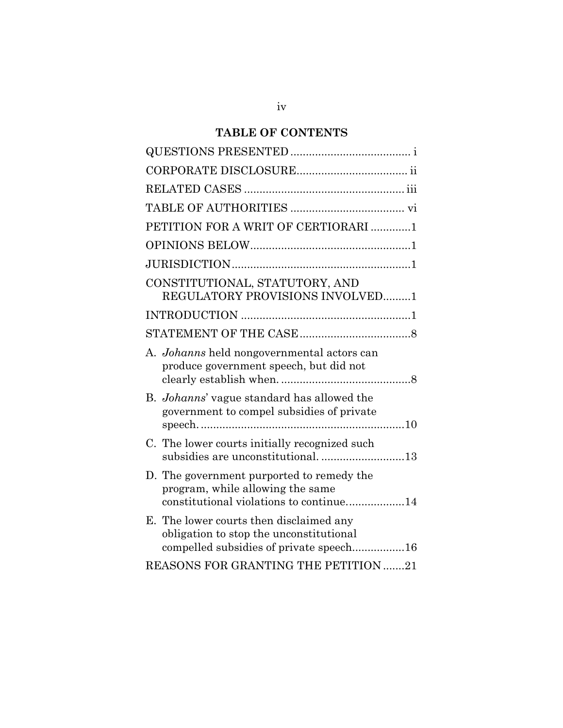### **TABLE OF CONTENTS**

| PETITION FOR A WRIT OF CERTIORARI 1                                                                                           |
|-------------------------------------------------------------------------------------------------------------------------------|
|                                                                                                                               |
|                                                                                                                               |
| CONSTITUTIONAL, STATUTORY, AND<br>REGULATORY PROVISIONS INVOLVED1                                                             |
|                                                                                                                               |
|                                                                                                                               |
| A. <i>Johanns</i> held nongovernmental actors can<br>produce government speech, but did not                                   |
| B. <i>Johanns</i> ' vague standard has allowed the<br>government to compel subsidies of private                               |
| C. The lower courts initially recognized such<br>subsidies are unconstitutional13                                             |
| D. The government purported to remedy the<br>program, while allowing the same<br>constitutional violations to continue14      |
| E. The lower courts then disclaimed any<br>obligation to stop the unconstitutional<br>compelled subsidies of private speech16 |
| REASONS FOR GRANTING THE PETITION 21                                                                                          |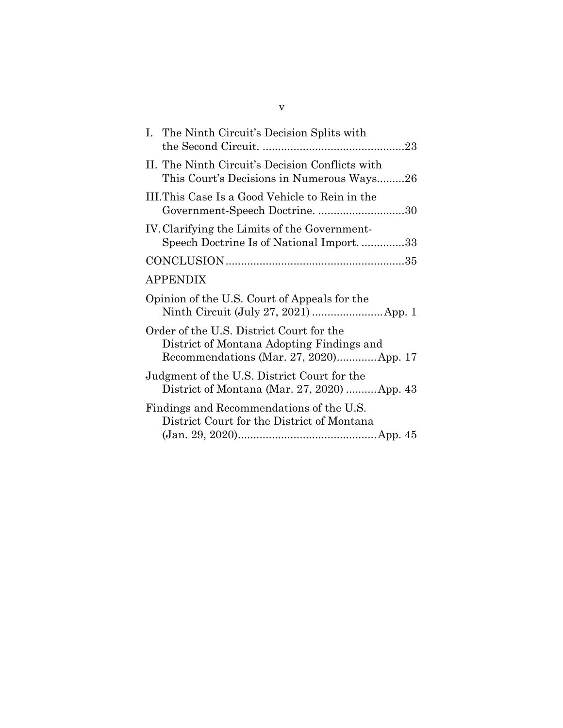| This Court's Decisions in Numerous Ways26   |
|---------------------------------------------|
| Government-Speech Doctrine. 30              |
| Speech Doctrine Is of National Import33     |
|                                             |
|                                             |
|                                             |
| Recommendations (Mar. 27, 2020)App. 17      |
| District of Montana (Mar. 27, 2020) App. 43 |
|                                             |
|                                             |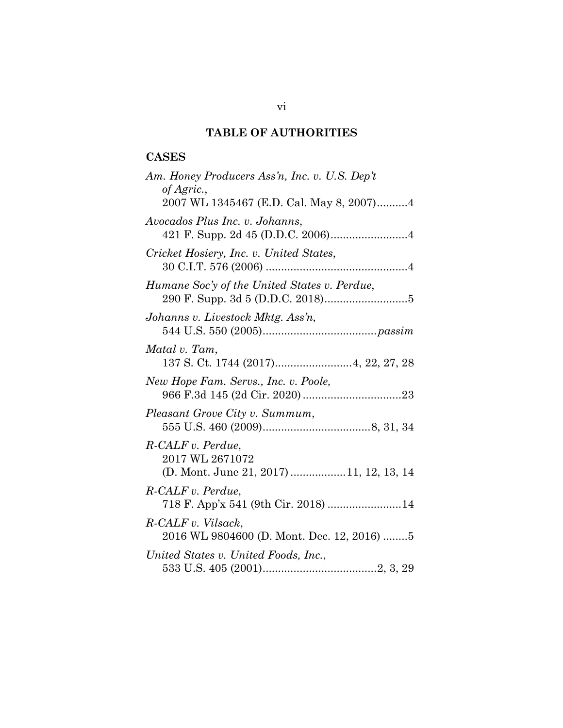## **TABLE OF AUTHORITIES**

### **CASES**

| Am. Honey Producers Ass'n, Inc. v. U.S. Dep't                                   |
|---------------------------------------------------------------------------------|
| of Agric.,<br>2007 WL 1345467 (E.D. Cal. May 8, 2007)4                          |
| Avocados Plus Inc. v. Johanns,                                                  |
| Cricket Hosiery, Inc. v. United States,                                         |
| Humane Soc'y of the United States v. Perdue,                                    |
| Johanns v. Livestock Mktg. Ass'n,                                               |
| Matal v. Tam,                                                                   |
| New Hope Fam. Servs., Inc. v. Poole,                                            |
| Pleasant Grove City v. Summum,                                                  |
| R-CALF v. Perdue.<br>2017 WL 2671072<br>(D. Mont. June 21, 2017) 11, 12, 13, 14 |
| R-CALF v. Perdue,<br>718 F. App'x 541 (9th Cir. 2018) 14                        |
| R-CALF v. Vilsack,<br>2016 WL 9804600 (D. Mont. Dec. 12, 2016) 5                |
| United States v. United Foods, Inc.,                                            |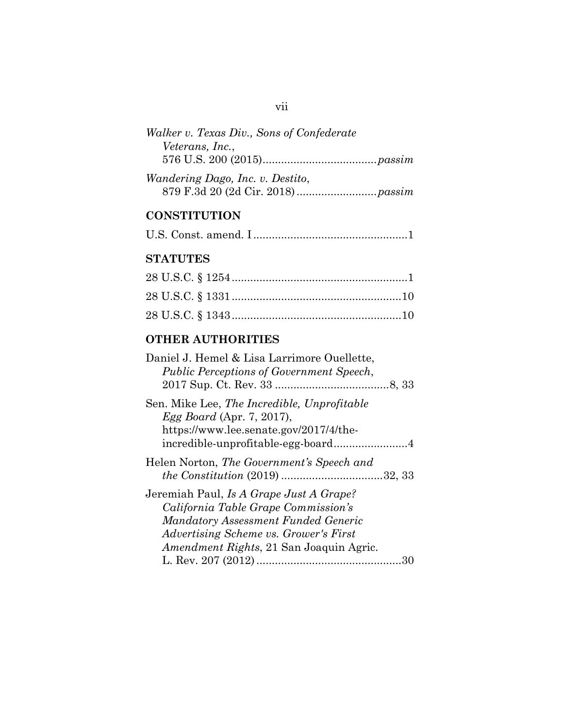| Walker v. Texas Div., Sons of Confederate |  |
|-------------------------------------------|--|
| Veterans, Inc.,                           |  |
|                                           |  |
| <i>Wandering Dago, Inc. v. Destito,</i>   |  |
|                                           |  |

### **CONSTITUTION**

|--|--|--|--|--|

#### **STATUTES**

### **OTHER AUTHORITIES**

| Daniel J. Hemel & Lisa Larrimore Ouellette,<br><b>Public Perceptions of Government Speech,</b>                                                                                                                           |  |
|--------------------------------------------------------------------------------------------------------------------------------------------------------------------------------------------------------------------------|--|
| Sen. Mike Lee, The Incredible, Unprofitable<br>Egg Board (Apr. 7, 2017),<br>https://www.lee.senate.gov/2017/4/the-                                                                                                       |  |
| Helen Norton, The Government's Speech and                                                                                                                                                                                |  |
| Jeremiah Paul, Is A Grape Just A Grape?<br>California Table Grape Commission's<br><b>Mandatory Assessment Funded Generic</b><br>Advertising Scheme vs. Grower's First<br><i>Amendment Rights</i> , 21 San Joaquin Agric. |  |
|                                                                                                                                                                                                                          |  |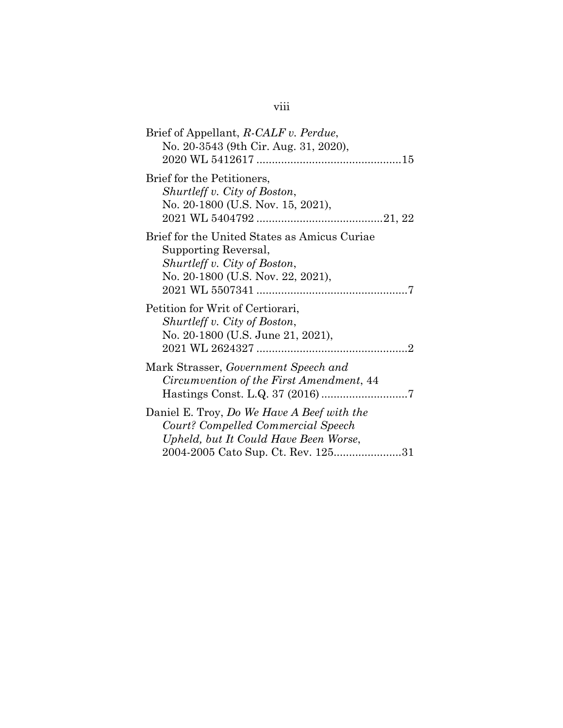# viii

| Brief of Appellant, R-CALF v. Perdue,<br>No. 20-3543 (9th Cir. Aug. 31, 2020),                                                                                  |
|-----------------------------------------------------------------------------------------------------------------------------------------------------------------|
| Brief for the Petitioners,<br>Shurtleff v. City of Boston,<br>No. 20-1800 (U.S. Nov. 15, 2021),                                                                 |
| Brief for the United States as Amicus Curiae<br>Supporting Reversal,<br>Shurtleff v. City of Boston,<br>No. 20-1800 (U.S. Nov. 22, 2021),                       |
| Petition for Writ of Certiorari,<br>Shurtleff v. City of Boston,<br>No. 20-1800 (U.S. June 21, 2021),                                                           |
| Mark Strasser, Government Speech and<br>Circumvention of the First Amendment, 44                                                                                |
| Daniel E. Troy, Do We Have A Beef with the<br>Court? Compelled Commercial Speech<br>Upheld, but It Could Have Been Worse,<br>2004-2005 Cato Sup. Ct. Rev. 12531 |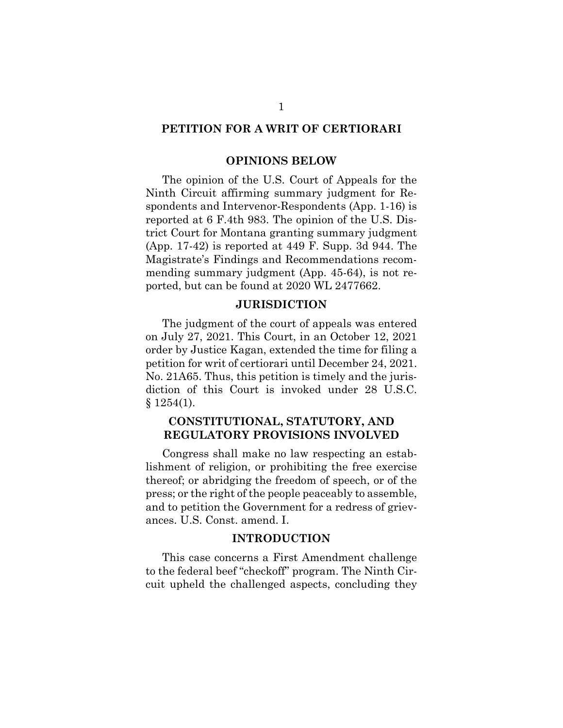#### **PETITION FOR A WRIT OF CERTIORARI**

#### **OPINIONS BELOW**

The opinion of the U.S. Court of Appeals for the Ninth Circuit affirming summary judgment for Respondents and Intervenor-Respondents (App. 1-16) is reported at 6 F.4th 983. The opinion of the U.S. District Court for Montana granting summary judgment (App. 17-42) is reported at 449 F. Supp. 3d 944. The Magistrate's Findings and Recommendations recommending summary judgment (App. 45-64), is not reported, but can be found at 2020 WL 2477662.

#### **JURISDICTION**

The judgment of the court of appeals was entered on July 27, 2021. This Court, in an October 12, 2021 order by Justice Kagan, extended the time for filing a petition for writ of certiorari until December 24, 2021. No. 21A65. Thus, this petition is timely and the jurisdiction of this Court is invoked under 28 U.S.C.  $§ 1254(1).$ 

#### **CONSTITUTIONAL, STATUTORY, AND REGULATORY PROVISIONS INVOLVED**

Congress shall make no law respecting an establishment of religion, or prohibiting the free exercise thereof; or abridging the freedom of speech, or of the press; or the right of the people peaceably to assemble, and to petition the Government for a redress of grievances. U.S. Const. amend. I.

#### **INTRODUCTION**

This case concerns a First Amendment challenge to the federal beef "checkoff" program. The Ninth Circuit upheld the challenged aspects, concluding they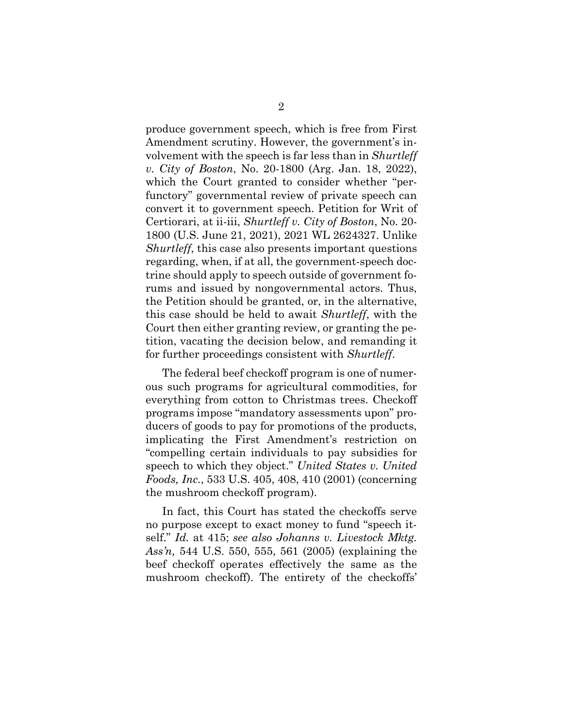produce government speech, which is free from First Amendment scrutiny. However, the government's involvement with the speech is far less than in *Shurtleff v. City of Boston*, No. 20-1800 (Arg. Jan. 18, 2022), which the Court granted to consider whether "perfunctory" governmental review of private speech can convert it to government speech. Petition for Writ of Certiorari, at ii-iii, *Shurtleff v. City of Boston*, No. 20- 1800 (U.S. June 21, 2021), 2021 WL 2624327. Unlike *Shurtleff*, this case also presents important questions regarding, when, if at all, the government-speech doctrine should apply to speech outside of government forums and issued by nongovernmental actors. Thus, the Petition should be granted, or, in the alternative, this case should be held to await *Shurtleff*, with the Court then either granting review, or granting the petition, vacating the decision below, and remanding it for further proceedings consistent with *Shurtleff*.

The federal beef checkoff program is one of numerous such programs for agricultural commodities, for everything from cotton to Christmas trees. Checkoff programs impose "mandatory assessments upon" producers of goods to pay for promotions of the products, implicating the First Amendment's restriction on "compelling certain individuals to pay subsidies for speech to which they object." *United States v. United Foods, Inc.*, 533 U.S. 405, 408, 410 (2001) (concerning the mushroom checkoff program).

In fact, this Court has stated the checkoffs serve no purpose except to exact money to fund "speech itself." *Id.* at 415; *see also Johanns v. Livestock Mktg. Ass'n,* 544 U.S. 550, 555, 561 (2005) (explaining the beef checkoff operates effectively the same as the mushroom checkoff). The entirety of the checkoffs'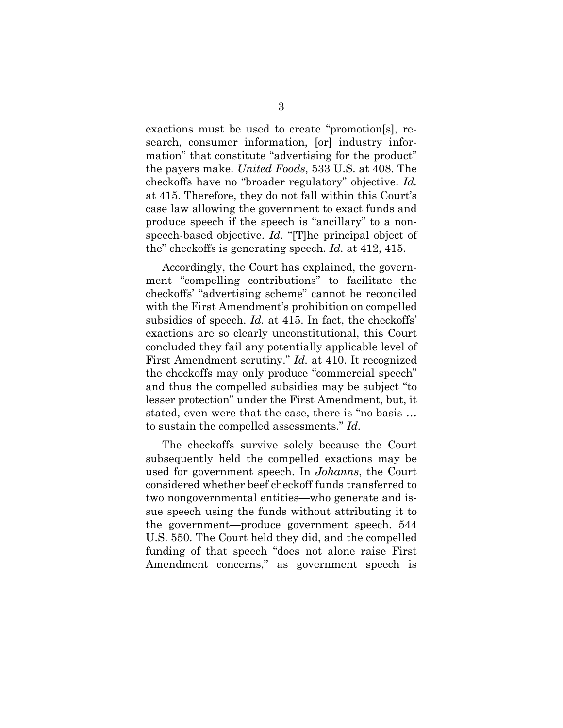exactions must be used to create "promotion[s], research, consumer information, [or] industry information" that constitute "advertising for the product" the payers make. *United Foods*, 533 U.S. at 408. The checkoffs have no "broader regulatory" objective. *Id.* at 415. Therefore, they do not fall within this Court's case law allowing the government to exact funds and produce speech if the speech is "ancillary" to a nonspeech-based objective. *Id.* "[T]he principal object of the" checkoffs is generating speech. *Id.* at 412, 415.

Accordingly, the Court has explained, the government "compelling contributions" to facilitate the checkoffs' "advertising scheme" cannot be reconciled with the First Amendment's prohibition on compelled subsidies of speech. *Id.* at 415. In fact, the checkoffs' exactions are so clearly unconstitutional, this Court concluded they fail any potentially applicable level of First Amendment scrutiny." *Id.* at 410. It recognized the checkoffs may only produce "commercial speech" and thus the compelled subsidies may be subject "to lesser protection" under the First Amendment, but, it stated, even were that the case, there is "no basis … to sustain the compelled assessments." *Id.*

The checkoffs survive solely because the Court subsequently held the compelled exactions may be used for government speech. In *Johanns*, the Court considered whether beef checkoff funds transferred to two nongovernmental entities—who generate and issue speech using the funds without attributing it to the government—produce government speech. 544 U.S. 550. The Court held they did, and the compelled funding of that speech "does not alone raise First Amendment concerns," as government speech is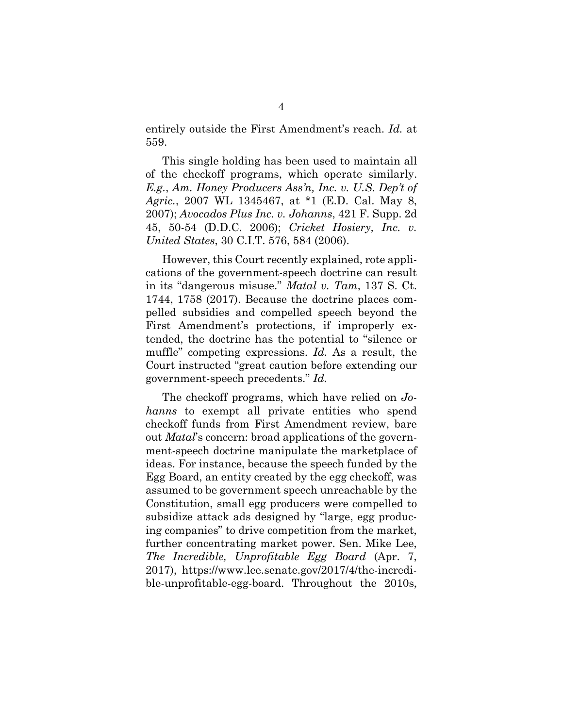entirely outside the First Amendment's reach. *Id.* at 559.

This single holding has been used to maintain all of the checkoff programs, which operate similarly. *E.g.*, *Am. Honey Producers Ass'n, Inc. v. U.S. Dep't of Agric.*, 2007 WL 1345467, at \*1 (E.D. Cal. May 8, 2007); *Avocados Plus Inc. v. Johanns*, 421 F. Supp. 2d 45, 50-54 (D.D.C. 2006); *Cricket Hosiery, Inc. v. United States*, 30 C.I.T. 576, 584 (2006).

However, this Court recently explained, rote applications of the government-speech doctrine can result in its "dangerous misuse." *Matal v. Tam*, 137 S. Ct. 1744, 1758 (2017). Because the doctrine places compelled subsidies and compelled speech beyond the First Amendment's protections, if improperly extended, the doctrine has the potential to "silence or muffle" competing expressions. *Id.* As a result, the Court instructed "great caution before extending our government-speech precedents." *Id.*

The checkoff programs, which have relied on *Johanns* to exempt all private entities who spend checkoff funds from First Amendment review, bare out *Matal*'s concern: broad applications of the government-speech doctrine manipulate the marketplace of ideas. For instance, because the speech funded by the Egg Board, an entity created by the egg checkoff, was assumed to be government speech unreachable by the Constitution, small egg producers were compelled to subsidize attack ads designed by "large, egg producing companies" to drive competition from the market, further concentrating market power. Sen. Mike Lee, *The Incredible, Unprofitable Egg Board* (Apr. 7, 2017), https://www.lee.senate.gov/2017/4/the-incredible-unprofitable-egg-board. Throughout the 2010s,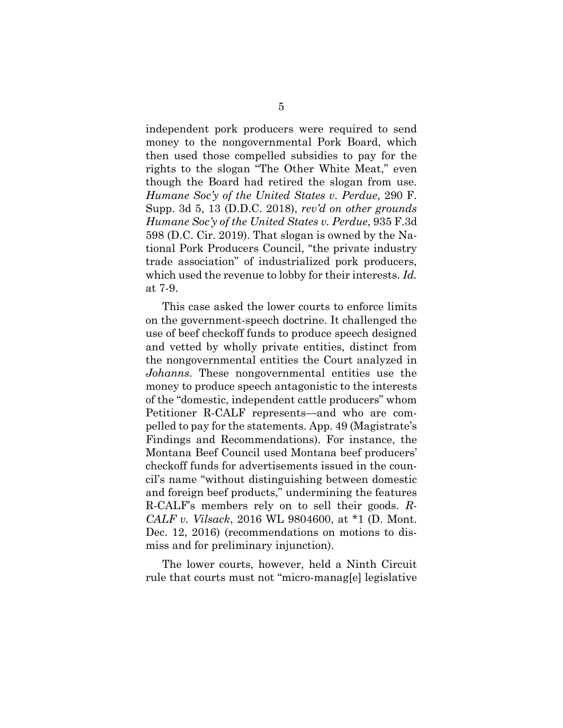independent pork producers were required to send money to the nongovernmental Pork Board, which then used those compelled subsidies to pay for the rights to the slogan "The Other White Meat," even though the Board had retired the slogan from use. *Humane Soc'y of the United States v. Perdue*, 290 F. Supp. 3d 5, 13 (D.D.C. 2018), *rev'd on other grounds Humane Soc'y of the United States v. Perdue*, 935 F.3d 598 (D.C. Cir. 2019). That slogan is owned by the National Pork Producers Council, "the private industry trade association" of industrialized pork producers, which used the revenue to lobby for their interests. *Id.*  at 7-9.

This case asked the lower courts to enforce limits on the government-speech doctrine. It challenged the use of beef checkoff funds to produce speech designed and vetted by wholly private entities, distinct from the nongovernmental entities the Court analyzed in *Johanns*. These nongovernmental entities use the money to produce speech antagonistic to the interests of the "domestic, independent cattle producers" whom Petitioner R-CALF represents—and who are compelled to pay for the statements. App. 49 (Magistrate's Findings and Recommendations). For instance, the Montana Beef Council used Montana beef producers' checkoff funds for advertisements issued in the council's name "without distinguishing between domestic and foreign beef products," undermining the features R-CALF's members rely on to sell their goods. *R-CALF v. Vilsack*, 2016 WL 9804600, at \*1 (D. Mont. Dec. 12, 2016) (recommendations on motions to dismiss and for preliminary injunction).

The lower courts, however, held a Ninth Circuit rule that courts must not "micro-manag[e] legislative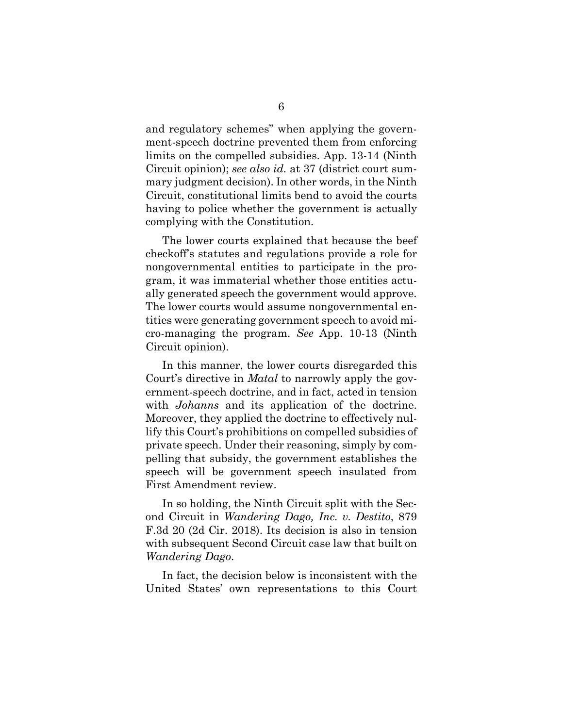and regulatory schemes" when applying the government-speech doctrine prevented them from enforcing limits on the compelled subsidies. App. 13-14 (Ninth Circuit opinion); *see also id.* at 37 (district court summary judgment decision). In other words, in the Ninth Circuit, constitutional limits bend to avoid the courts having to police whether the government is actually complying with the Constitution.

The lower courts explained that because the beef checkoff's statutes and regulations provide a role for nongovernmental entities to participate in the program, it was immaterial whether those entities actually generated speech the government would approve. The lower courts would assume nongovernmental entities were generating government speech to avoid micro-managing the program. *See* App. 10-13 (Ninth Circuit opinion).

In this manner, the lower courts disregarded this Court's directive in *Matal* to narrowly apply the government-speech doctrine, and in fact, acted in tension with *Johanns* and its application of the doctrine. Moreover, they applied the doctrine to effectively nullify this Court's prohibitions on compelled subsidies of private speech. Under their reasoning, simply by compelling that subsidy, the government establishes the speech will be government speech insulated from First Amendment review.

In so holding, the Ninth Circuit split with the Second Circuit in *Wandering Dago, Inc. v. Destito*, 879 F.3d 20 (2d Cir. 2018). Its decision is also in tension with subsequent Second Circuit case law that built on *Wandering Dago*.

In fact, the decision below is inconsistent with the United States' own representations to this Court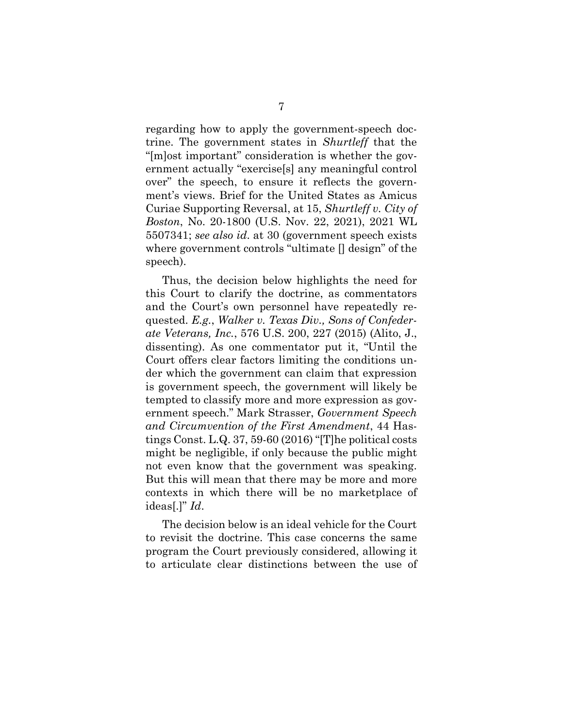regarding how to apply the government-speech doctrine. The government states in *Shurtleff* that the "[m]ost important" consideration is whether the government actually "exercise[s] any meaningful control over" the speech, to ensure it reflects the government's views. Brief for the United States as Amicus Curiae Supporting Reversal, at 15, *Shurtleff v. City of Boston*, No. 20-1800 (U.S. Nov. 22, 2021), 2021 WL 5507341; *see also id*. at 30 (government speech exists where government controls "ultimate [] design" of the speech).

Thus, the decision below highlights the need for this Court to clarify the doctrine, as commentators and the Court's own personnel have repeatedly requested. *E.g.*, *Walker v. Texas Div., Sons of Confederate Veterans, Inc.*, 576 U.S. 200, 227 (2015) (Alito, J., dissenting). As one commentator put it, "Until the Court offers clear factors limiting the conditions under which the government can claim that expression is government speech, the government will likely be tempted to classify more and more expression as government speech." Mark Strasser, *Government Speech and Circumvention of the First Amendment*, 44 Hastings Const. L.Q. 37, 59-60 (2016) "[T]he political costs might be negligible, if only because the public might not even know that the government was speaking. But this will mean that there may be more and more contexts in which there will be no marketplace of ideas[.]" *Id*.

The decision below is an ideal vehicle for the Court to revisit the doctrine. This case concerns the same program the Court previously considered, allowing it to articulate clear distinctions between the use of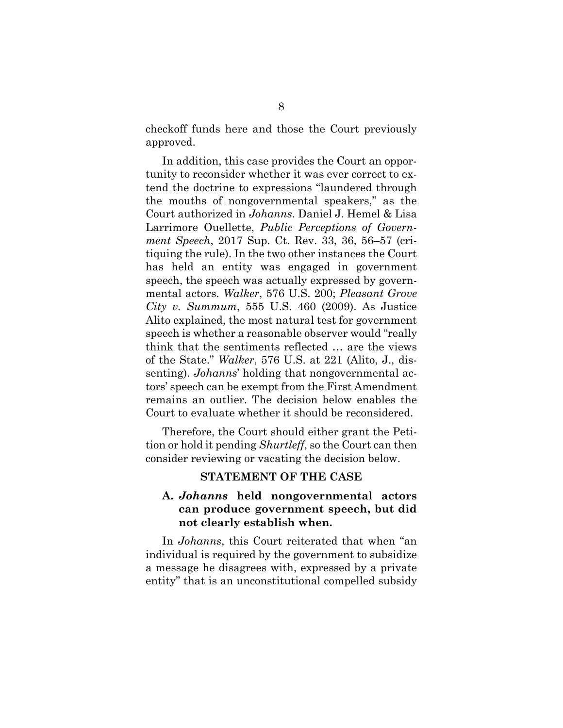checkoff funds here and those the Court previously approved.

In addition, this case provides the Court an opportunity to reconsider whether it was ever correct to extend the doctrine to expressions "laundered through the mouths of nongovernmental speakers," as the Court authorized in *Johanns*. Daniel J. Hemel & Lisa Larrimore Ouellette, *Public Perceptions of Government Speech*, 2017 Sup. Ct. Rev. 33, 36, 56–57 (critiquing the rule). In the two other instances the Court has held an entity was engaged in government speech, the speech was actually expressed by governmental actors. *Walker*, 576 U.S. 200; *Pleasant Grove City v. Summum*, 555 U.S. 460 (2009). As Justice Alito explained, the most natural test for government speech is whether a reasonable observer would "really think that the sentiments reflected … are the views of the State." *Walker*, 576 U.S. at 221 (Alito, J., dissenting). *Johanns*' holding that nongovernmental actors' speech can be exempt from the First Amendment remains an outlier. The decision below enables the Court to evaluate whether it should be reconsidered.

Therefore, the Court should either grant the Petition or hold it pending *Shurtleff*, so the Court can then consider reviewing or vacating the decision below.

#### **STATEMENT OF THE CASE**

#### **A.** *Johanns* **held nongovernmental actors can produce government speech, but did not clearly establish when.**

In *Johanns*, this Court reiterated that when "an individual is required by the government to subsidize a message he disagrees with, expressed by a private entity" that is an unconstitutional compelled subsidy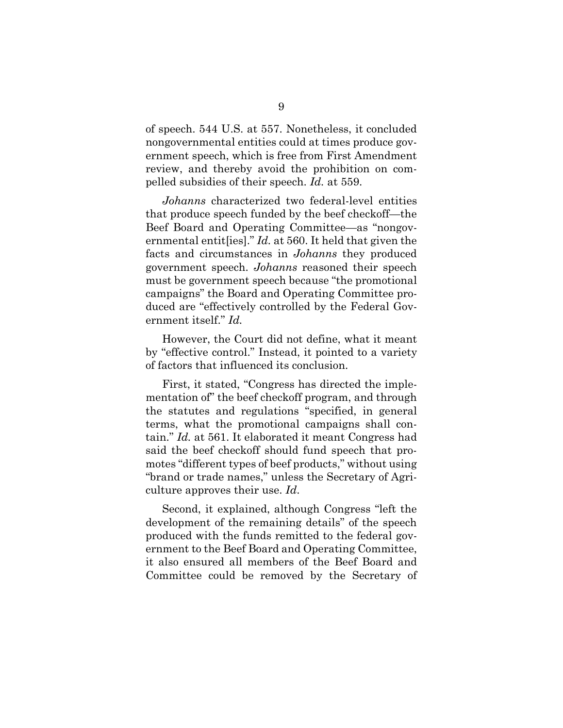of speech. 544 U.S. at 557. Nonetheless, it concluded nongovernmental entities could at times produce government speech, which is free from First Amendment review, and thereby avoid the prohibition on compelled subsidies of their speech. *Id.* at 559.

*Johanns* characterized two federal-level entities that produce speech funded by the beef checkoff—the Beef Board and Operating Committee—as "nongovernmental entit[ies]." *Id.* at 560. It held that given the facts and circumstances in *Johanns* they produced government speech. *Johanns* reasoned their speech must be government speech because "the promotional campaigns" the Board and Operating Committee produced are "effectively controlled by the Federal Government itself." *Id.* 

However, the Court did not define, what it meant by "effective control." Instead, it pointed to a variety of factors that influenced its conclusion.

First, it stated, "Congress has directed the implementation of" the beef checkoff program, and through the statutes and regulations "specified, in general terms, what the promotional campaigns shall contain." *Id.* at 561. It elaborated it meant Congress had said the beef checkoff should fund speech that promotes "different types of beef products," without using "brand or trade names," unless the Secretary of Agriculture approves their use. *Id*.

Second, it explained, although Congress "left the development of the remaining details" of the speech produced with the funds remitted to the federal government to the Beef Board and Operating Committee, it also ensured all members of the Beef Board and Committee could be removed by the Secretary of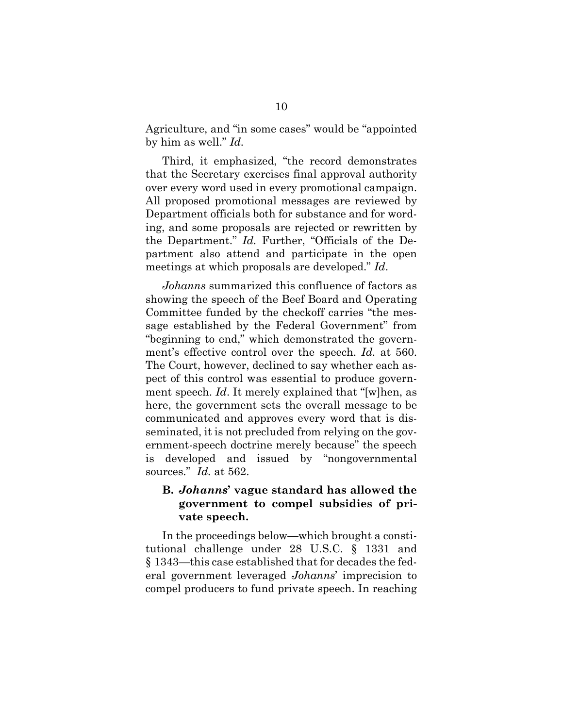Agriculture, and "in some cases" would be "appointed by him as well." *Id.* 

Third, it emphasized, "the record demonstrates that the Secretary exercises final approval authority over every word used in every promotional campaign. All proposed promotional messages are reviewed by Department officials both for substance and for wording, and some proposals are rejected or rewritten by the Department." *Id.* Further, "Officials of the Department also attend and participate in the open meetings at which proposals are developed." *Id*.

*Johanns* summarized this confluence of factors as showing the speech of the Beef Board and Operating Committee funded by the checkoff carries "the message established by the Federal Government" from "beginning to end," which demonstrated the government's effective control over the speech. *Id.* at 560. The Court, however, declined to say whether each aspect of this control was essential to produce government speech. *Id*. It merely explained that "[w]hen, as here, the government sets the overall message to be communicated and approves every word that is disseminated, it is not precluded from relying on the government-speech doctrine merely because" the speech is developed and issued by "nongovernmental sources." *Id.* at 562.

#### **B.** *Johanns***' vague standard has allowed the government to compel subsidies of private speech.**

In the proceedings below—which brought a constitutional challenge under 28 U.S.C. § 1331 and § 1343—this case established that for decades the federal government leveraged *Johanns*' imprecision to compel producers to fund private speech. In reaching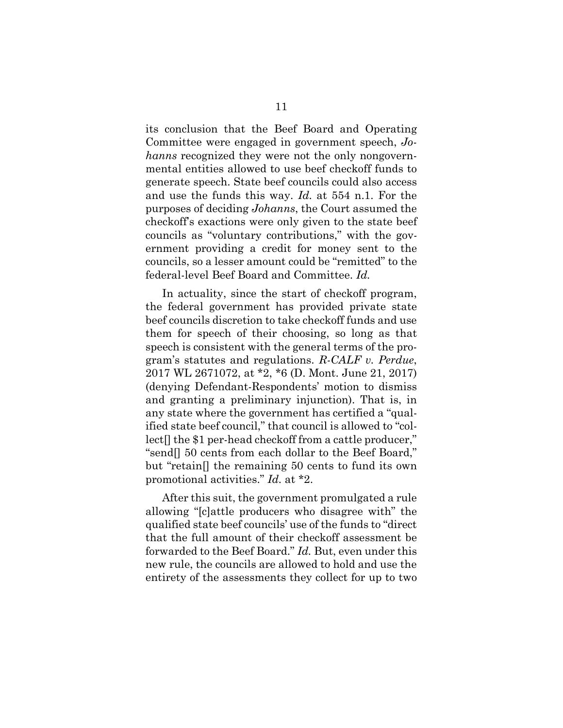its conclusion that the Beef Board and Operating Committee were engaged in government speech, *Johanns* recognized they were not the only nongovernmental entities allowed to use beef checkoff funds to generate speech. State beef councils could also access and use the funds this way. *Id.* at 554 n.1. For the purposes of deciding *Johanns*, the Court assumed the checkoff's exactions were only given to the state beef councils as "voluntary contributions," with the government providing a credit for money sent to the councils, so a lesser amount could be "remitted" to the federal-level Beef Board and Committee. *Id.*

In actuality, since the start of checkoff program, the federal government has provided private state beef councils discretion to take checkoff funds and use them for speech of their choosing, so long as that speech is consistent with the general terms of the program's statutes and regulations. *R-CALF v. Perdue*, 2017 WL 2671072, at \*2, \*6 (D. Mont. June 21, 2017) (denying Defendant-Respondents' motion to dismiss and granting a preliminary injunction). That is, in any state where the government has certified a "qualified state beef council," that council is allowed to "collect[] the \$1 per-head checkoff from a cattle producer," "send[] 50 cents from each dollar to the Beef Board," but "retain[] the remaining 50 cents to fund its own promotional activities." *Id.* at \*2.

After this suit, the government promulgated a rule allowing "[c]attle producers who disagree with" the qualified state beef councils' use of the funds to "direct that the full amount of their checkoff assessment be forwarded to the Beef Board." *Id.* But, even under this new rule, the councils are allowed to hold and use the entirety of the assessments they collect for up to two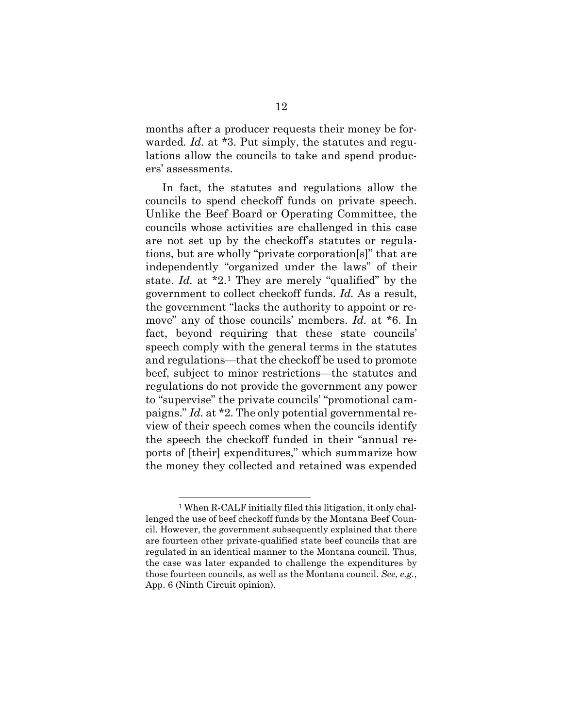months after a producer requests their money be forwarded. *Id.* at \*3. Put simply, the statutes and regulations allow the councils to take and spend producers' assessments.

In fact, the statutes and regulations allow the councils to spend checkoff funds on private speech. Unlike the Beef Board or Operating Committee, the councils whose activities are challenged in this case are not set up by the checkoff's statutes or regulations, but are wholly "private corporation[s]" that are independently "organized under the laws" of their state. *Id.* at \*2.[1](#page-21-0) They are merely "qualified" by the government to collect checkoff funds. *Id.* As a result, the government "lacks the authority to appoint or remove" any of those councils' members. *Id.* at \*6. In fact, beyond requiring that these state councils' speech comply with the general terms in the statutes and regulations—that the checkoff be used to promote beef, subject to minor restrictions—the statutes and regulations do not provide the government any power to "supervise" the private councils' "promotional campaigns." *Id.* at \*2. The only potential governmental review of their speech comes when the councils identify the speech the checkoff funded in their "annual reports of [their] expenditures," which summarize how the money they collected and retained was expended

<span id="page-21-0"></span><sup>1</sup> When R-CALF initially filed this litigation, it only challenged the use of beef checkoff funds by the Montana Beef Council. However, the government subsequently explained that there are fourteen other private-qualified state beef councils that are regulated in an identical manner to the Montana council. Thus, the case was later expanded to challenge the expenditures by those fourteen councils, as well as the Montana council. *See*, *e.g.*, App. 6 (Ninth Circuit opinion).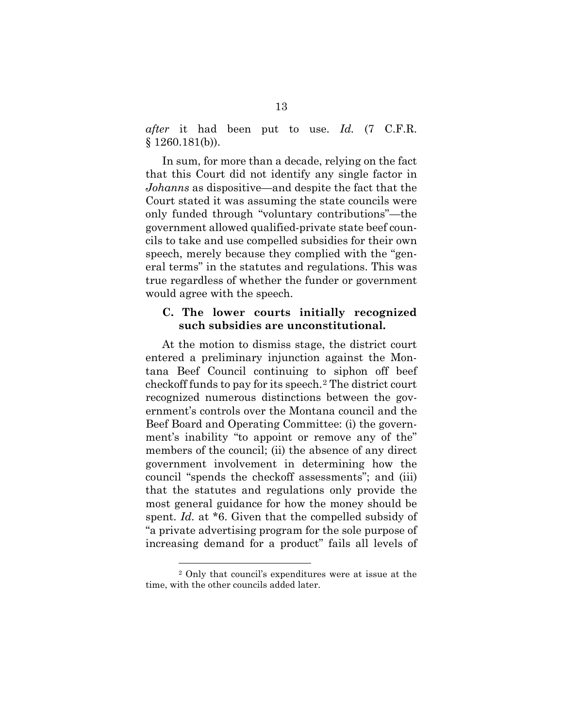*after* it had been put to use. *Id.* (7 C.F.R.  $§ 1260.181(b)).$ 

In sum, for more than a decade, relying on the fact that this Court did not identify any single factor in *Johanns* as dispositive—and despite the fact that the Court stated it was assuming the state councils were only funded through "voluntary contributions"—the government allowed qualified-private state beef councils to take and use compelled subsidies for their own speech, merely because they complied with the "general terms" in the statutes and regulations. This was true regardless of whether the funder or government would agree with the speech.

#### **C. The lower courts initially recognized such subsidies are unconstitutional.**

At the motion to dismiss stage, the district court entered a preliminary injunction against the Montana Beef Council continuing to siphon off beef checkoff funds to pay for its speech.[2](#page-22-0) The district court recognized numerous distinctions between the government's controls over the Montana council and the Beef Board and Operating Committee: (i) the government's inability "to appoint or remove any of the" members of the council; (ii) the absence of any direct government involvement in determining how the council "spends the checkoff assessments"; and (iii) that the statutes and regulations only provide the most general guidance for how the money should be spent. *Id.* at \*6. Given that the compelled subsidy of "a private advertising program for the sole purpose of increasing demand for a product" fails all levels of

<span id="page-22-0"></span><sup>2</sup> Only that council's expenditures were at issue at the time, with the other councils added later.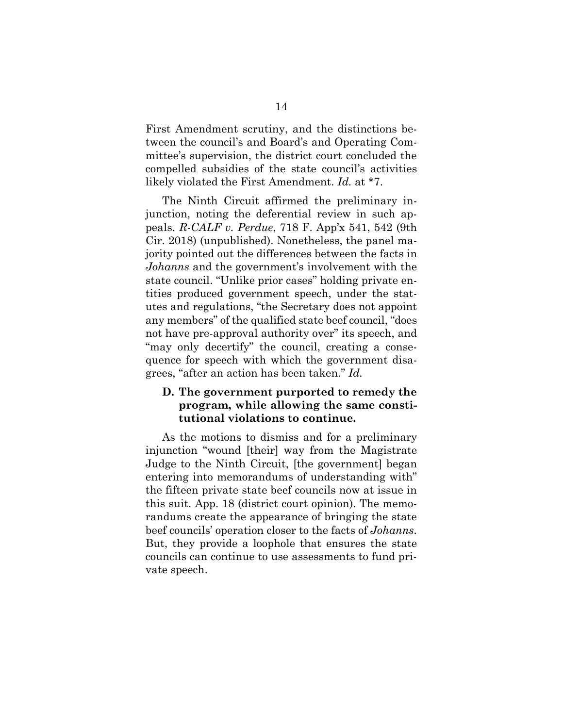First Amendment scrutiny, and the distinctions between the council's and Board's and Operating Committee's supervision, the district court concluded the compelled subsidies of the state council's activities likely violated the First Amendment. *Id.* at \*7.

The Ninth Circuit affirmed the preliminary injunction, noting the deferential review in such appeals. *R-CALF v. Perdue*, 718 F. App'x 541, 542 (9th Cir. 2018) (unpublished). Nonetheless, the panel majority pointed out the differences between the facts in *Johanns* and the government's involvement with the state council. "Unlike prior cases" holding private entities produced government speech, under the statutes and regulations, "the Secretary does not appoint any members" of the qualified state beef council, "does not have pre-approval authority over" its speech, and "may only decertify" the council, creating a consequence for speech with which the government disagrees, "after an action has been taken." *Id.*

#### **D. The government purported to remedy the program, while allowing the same constitutional violations to continue.**

As the motions to dismiss and for a preliminary injunction "wound [their] way from the Magistrate Judge to the Ninth Circuit, [the government] began entering into memorandums of understanding with" the fifteen private state beef councils now at issue in this suit. App. 18 (district court opinion). The memorandums create the appearance of bringing the state beef councils' operation closer to the facts of *Johanns*. But, they provide a loophole that ensures the state councils can continue to use assessments to fund private speech.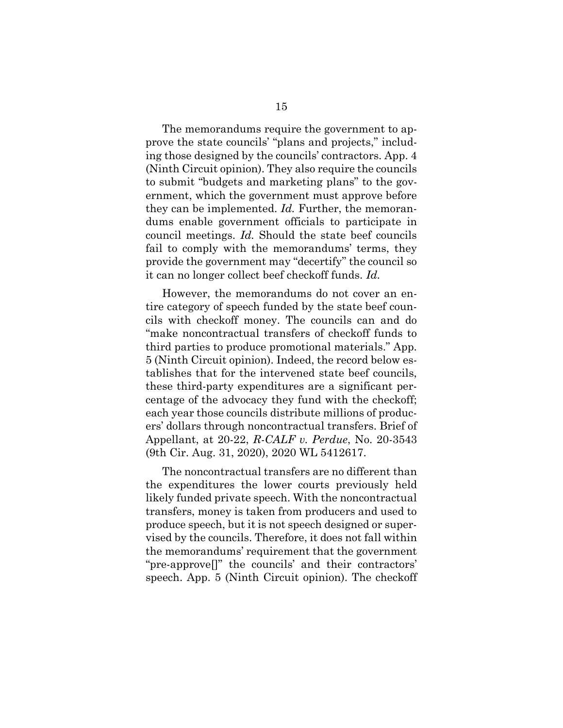The memorandums require the government to approve the state councils' "plans and projects," including those designed by the councils' contractors. App. 4 (Ninth Circuit opinion). They also require the councils to submit "budgets and marketing plans" to the government, which the government must approve before they can be implemented. *Id.* Further, the memorandums enable government officials to participate in council meetings. *Id.* Should the state beef councils fail to comply with the memorandums' terms, they provide the government may "decertify" the council so it can no longer collect beef checkoff funds. *Id.*

However, the memorandums do not cover an entire category of speech funded by the state beef councils with checkoff money. The councils can and do "make noncontractual transfers of checkoff funds to third parties to produce promotional materials." App. 5 (Ninth Circuit opinion). Indeed, the record below establishes that for the intervened state beef councils, these third-party expenditures are a significant percentage of the advocacy they fund with the checkoff; each year those councils distribute millions of producers' dollars through noncontractual transfers. Brief of Appellant, at 20-22, *R-CALF v. Perdue*, No. 20-3543 (9th Cir. Aug. 31, 2020), 2020 WL 5412617.

The noncontractual transfers are no different than the expenditures the lower courts previously held likely funded private speech. With the noncontractual transfers, money is taken from producers and used to produce speech, but it is not speech designed or supervised by the councils. Therefore, it does not fall within the memorandums' requirement that the government "pre-approve[]" the councils' and their contractors' speech. App. 5 (Ninth Circuit opinion). The checkoff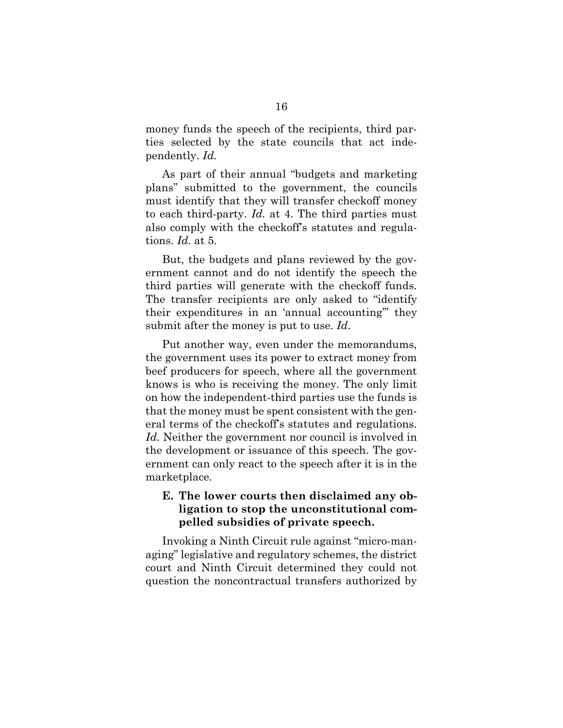money funds the speech of the recipients, third parties selected by the state councils that act independently. *Id.* 

As part of their annual "budgets and marketing plans" submitted to the government, the councils must identify that they will transfer checkoff money to each third-party. *Id.* at 4. The third parties must also comply with the checkoff's statutes and regulations. *Id.* at 5.

But, the budgets and plans reviewed by the government cannot and do not identify the speech the third parties will generate with the checkoff funds. The transfer recipients are only asked to "identify their expenditures in an 'annual accounting'" they submit after the money is put to use. *Id*.

Put another way, even under the memorandums, the government uses its power to extract money from beef producers for speech, where all the government knows is who is receiving the money. The only limit on how the independent-third parties use the funds is that the money must be spent consistent with the general terms of the checkoff's statutes and regulations. *Id.* Neither the government nor council is involved in the development or issuance of this speech. The government can only react to the speech after it is in the marketplace.

#### **E. The lower courts then disclaimed any obligation to stop the unconstitutional compelled subsidies of private speech.**

Invoking a Ninth Circuit rule against "micro-managing" legislative and regulatory schemes, the district court and Ninth Circuit determined they could not question the noncontractual transfers authorized by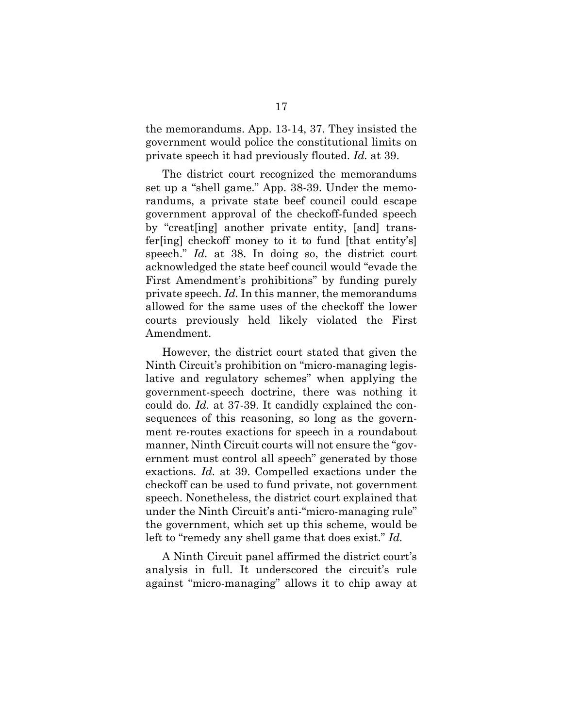the memorandums. App. 13-14, 37. They insisted the government would police the constitutional limits on private speech it had previously flouted. *Id.* at 39.

The district court recognized the memorandums set up a "shell game." App. 38-39. Under the memorandums, a private state beef council could escape government approval of the checkoff-funded speech by "creat[ing] another private entity, [and] transfer[ing] checkoff money to it to fund [that entity's] speech." *Id.* at 38. In doing so, the district court acknowledged the state beef council would "evade the First Amendment's prohibitions" by funding purely private speech. *Id.* In this manner, the memorandums allowed for the same uses of the checkoff the lower courts previously held likely violated the First Amendment.

However, the district court stated that given the Ninth Circuit's prohibition on "micro-managing legislative and regulatory schemes" when applying the government-speech doctrine, there was nothing it could do. *Id.* at 37-39. It candidly explained the consequences of this reasoning, so long as the government re-routes exactions for speech in a roundabout manner, Ninth Circuit courts will not ensure the "government must control all speech" generated by those exactions. *Id.* at 39. Compelled exactions under the checkoff can be used to fund private, not government speech. Nonetheless, the district court explained that under the Ninth Circuit's anti-"micro-managing rule" the government, which set up this scheme, would be left to "remedy any shell game that does exist." *Id.* 

A Ninth Circuit panel affirmed the district court's analysis in full. It underscored the circuit's rule against "micro-managing" allows it to chip away at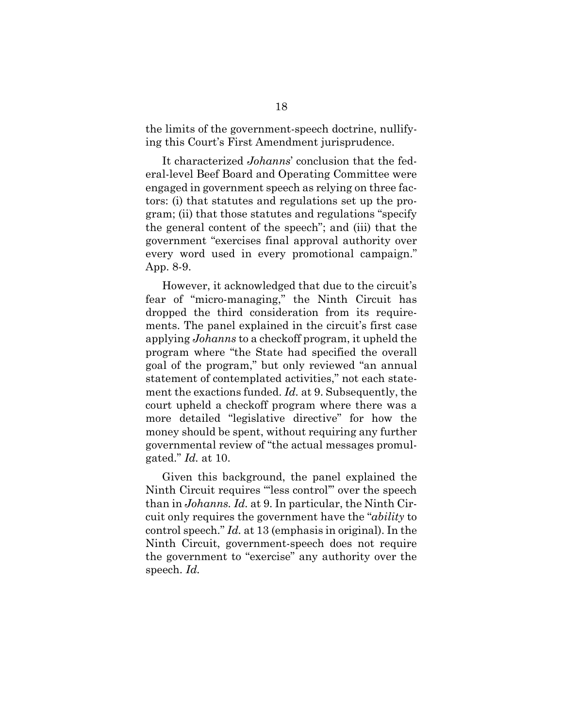the limits of the government-speech doctrine, nullifying this Court's First Amendment jurisprudence.

It characterized *Johanns*' conclusion that the federal-level Beef Board and Operating Committee were engaged in government speech as relying on three factors: (i) that statutes and regulations set up the program; (ii) that those statutes and regulations "specify the general content of the speech"; and (iii) that the government "exercises final approval authority over every word used in every promotional campaign." App. 8-9.

However, it acknowledged that due to the circuit's fear of "micro-managing," the Ninth Circuit has dropped the third consideration from its requirements. The panel explained in the circuit's first case applying *Johanns* to a checkoff program, it upheld the program where "the State had specified the overall goal of the program," but only reviewed "an annual statement of contemplated activities," not each statement the exactions funded. *Id.* at 9. Subsequently, the court upheld a checkoff program where there was a more detailed "legislative directive" for how the money should be spent, without requiring any further governmental review of "the actual messages promulgated." *Id.* at 10.

Given this background, the panel explained the Ninth Circuit requires "less control" over the speech than in *Johanns. Id.* at 9. In particular, the Ninth Circuit only requires the government have the "*ability* to control speech." *Id.* at 13 (emphasis in original). In the Ninth Circuit, government-speech does not require the government to "exercise" any authority over the speech. *Id.*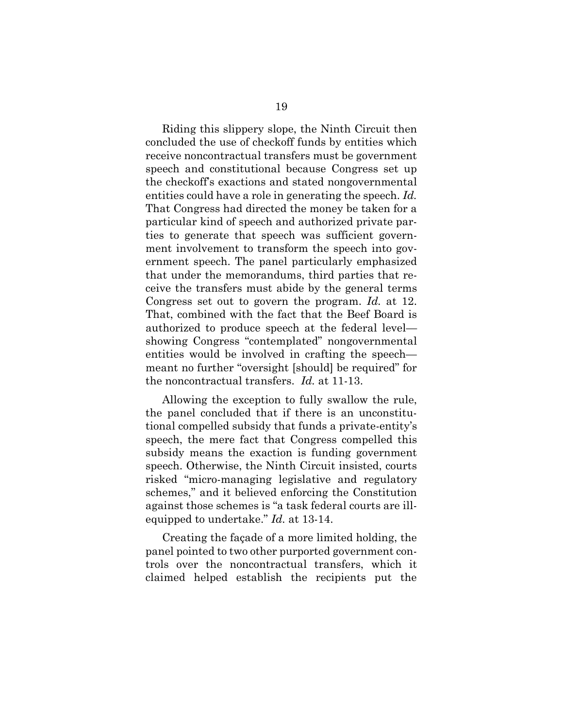Riding this slippery slope, the Ninth Circuit then concluded the use of checkoff funds by entities which receive noncontractual transfers must be government speech and constitutional because Congress set up the checkoff's exactions and stated nongovernmental entities could have a role in generating the speech. *Id.* That Congress had directed the money be taken for a particular kind of speech and authorized private parties to generate that speech was sufficient government involvement to transform the speech into government speech. The panel particularly emphasized that under the memorandums, third parties that receive the transfers must abide by the general terms Congress set out to govern the program. *Id.* at 12. That, combined with the fact that the Beef Board is authorized to produce speech at the federal level showing Congress "contemplated" nongovernmental entities would be involved in crafting the speech meant no further "oversight [should] be required" for the noncontractual transfers. *Id.* at 11-13.

Allowing the exception to fully swallow the rule, the panel concluded that if there is an unconstitutional compelled subsidy that funds a private-entity's speech, the mere fact that Congress compelled this subsidy means the exaction is funding government speech. Otherwise, the Ninth Circuit insisted, courts risked "micro-managing legislative and regulatory schemes," and it believed enforcing the Constitution against those schemes is "a task federal courts are illequipped to undertake." *Id.* at 13-14.

Creating the façade of a more limited holding, the panel pointed to two other purported government controls over the noncontractual transfers, which it claimed helped establish the recipients put the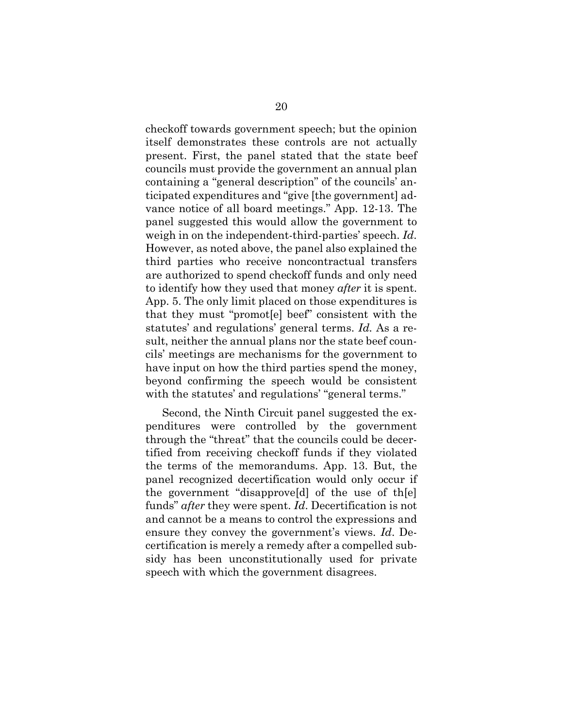checkoff towards government speech; but the opinion itself demonstrates these controls are not actually present. First, the panel stated that the state beef councils must provide the government an annual plan containing a "general description" of the councils' anticipated expenditures and "give [the government] advance notice of all board meetings." App. 12-13. The panel suggested this would allow the government to weigh in on the independent-third-parties' speech. *Id*. However, as noted above, the panel also explained the third parties who receive noncontractual transfers are authorized to spend checkoff funds and only need to identify how they used that money *after* it is spent. App. 5. The only limit placed on those expenditures is that they must "promot[e] beef" consistent with the statutes' and regulations' general terms. *Id.* As a result, neither the annual plans nor the state beef councils' meetings are mechanisms for the government to have input on how the third parties spend the money, beyond confirming the speech would be consistent with the statutes' and regulations' "general terms."

Second, the Ninth Circuit panel suggested the expenditures were controlled by the government through the "threat" that the councils could be decertified from receiving checkoff funds if they violated the terms of the memorandums. App. 13. But, the panel recognized decertification would only occur if the government "disapprove[d] of the use of th[e] funds" *after* they were spent. *Id*. Decertification is not and cannot be a means to control the expressions and ensure they convey the government's views. *Id*. Decertification is merely a remedy after a compelled subsidy has been unconstitutionally used for private speech with which the government disagrees.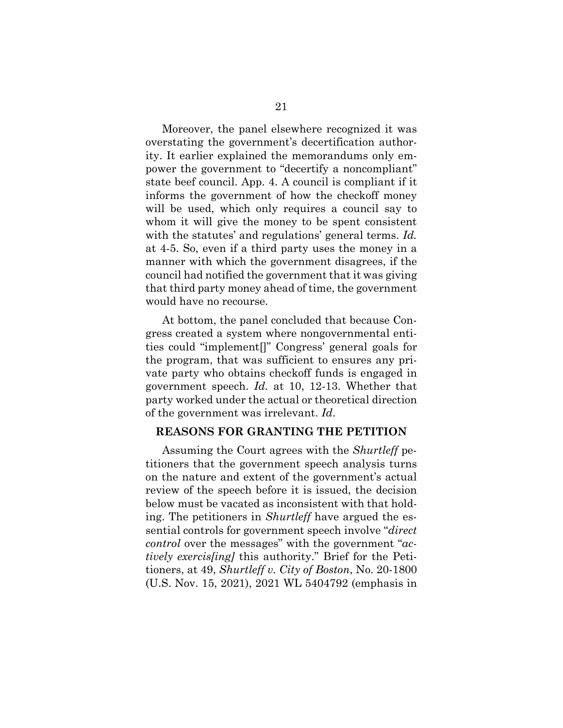Moreover, the panel elsewhere recognized it was overstating the government's decertification authority. It earlier explained the memorandums only empower the government to "decertify a noncompliant" state beef council. App. 4. A council is compliant if it informs the government of how the checkoff money will be used, which only requires a council say to whom it will give the money to be spent consistent with the statutes' and regulations' general terms. *Id.*  at 4-5. So, even if a third party uses the money in a manner with which the government disagrees, if the council had notified the government that it was giving that third party money ahead of time, the government would have no recourse.

At bottom, the panel concluded that because Congress created a system where nongovernmental entities could "implement[]" Congress' general goals for the program, that was sufficient to ensures any private party who obtains checkoff funds is engaged in government speech. *Id.* at 10, 12-13. Whether that party worked under the actual or theoretical direction of the government was irrelevant. *Id*.

#### **REASONS FOR GRANTING THE PETITION**

Assuming the Court agrees with the *Shurtleff* petitioners that the government speech analysis turns on the nature and extent of the government's actual review of the speech before it is issued, the decision below must be vacated as inconsistent with that holding. The petitioners in *Shurtleff* have argued the essential controls for government speech involve "*direct control* over the messages" with the government "*actively exercis[ing]* this authority." Brief for the Petitioners, at 49, *Shurtleff v. City of Boston*, No. 20-1800 (U.S. Nov. 15, 2021), 2021 WL 5404792 (emphasis in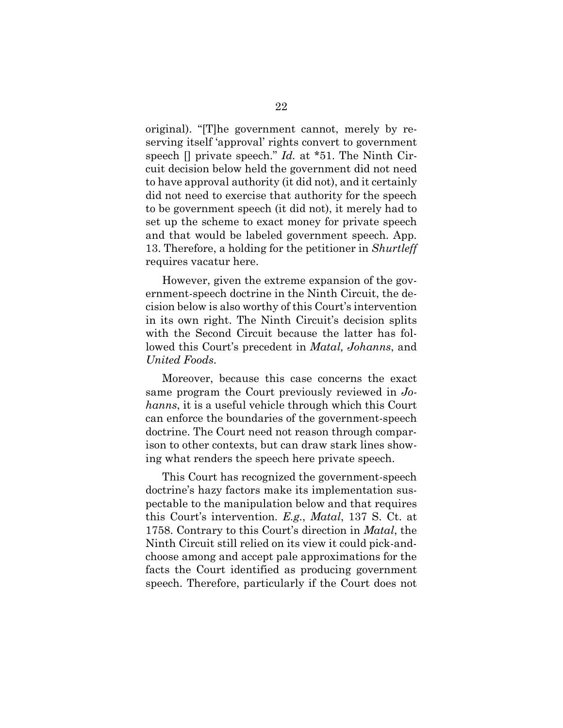original). "[T]he government cannot, merely by reserving itself 'approval' rights convert to government speech [] private speech." *Id.* at \*51. The Ninth Circuit decision below held the government did not need to have approval authority (it did not), and it certainly did not need to exercise that authority for the speech to be government speech (it did not), it merely had to set up the scheme to exact money for private speech and that would be labeled government speech. App. 13. Therefore, a holding for the petitioner in *Shurtleff*  requires vacatur here.

However, given the extreme expansion of the government-speech doctrine in the Ninth Circuit, the decision below is also worthy of this Court's intervention in its own right. The Ninth Circuit's decision splits with the Second Circuit because the latter has followed this Court's precedent in *Matal, Johanns*, and *United Foods*.

Moreover, because this case concerns the exact same program the Court previously reviewed in *Johanns*, it is a useful vehicle through which this Court can enforce the boundaries of the government-speech doctrine. The Court need not reason through comparison to other contexts, but can draw stark lines showing what renders the speech here private speech.

This Court has recognized the government-speech doctrine's hazy factors make its implementation suspectable to the manipulation below and that requires this Court's intervention. *E.g.*, *Matal*, 137 S. Ct. at 1758. Contrary to this Court's direction in *Matal*, the Ninth Circuit still relied on its view it could pick-andchoose among and accept pale approximations for the facts the Court identified as producing government speech. Therefore, particularly if the Court does not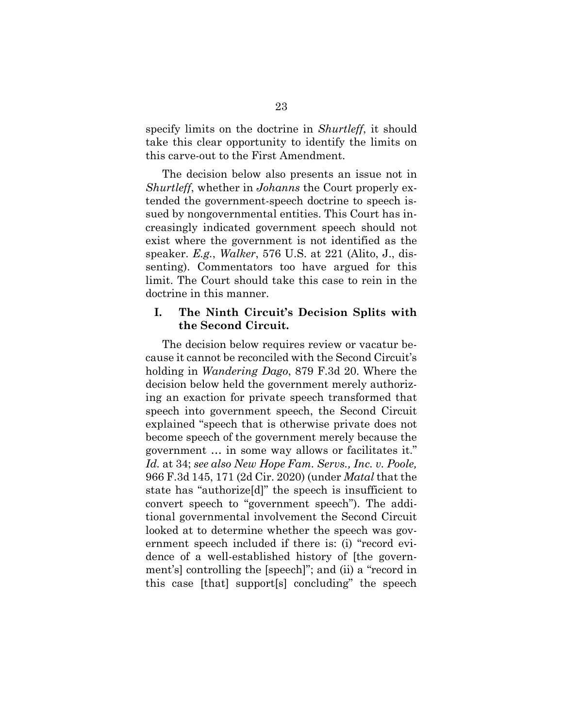specify limits on the doctrine in *Shurtleff*, it should take this clear opportunity to identify the limits on this carve-out to the First Amendment.

The decision below also presents an issue not in *Shurtleff*, whether in *Johanns* the Court properly extended the government-speech doctrine to speech issued by nongovernmental entities. This Court has increasingly indicated government speech should not exist where the government is not identified as the speaker. *E.g.*, *Walker*, 576 U.S. at 221 (Alito, J., dissenting). Commentators too have argued for this limit. The Court should take this case to rein in the doctrine in this manner.

#### **I. The Ninth Circuit's Decision Splits with the Second Circuit.**

The decision below requires review or vacatur because it cannot be reconciled with the Second Circuit's holding in *Wandering Dago*, 879 F.3d 20. Where the decision below held the government merely authorizing an exaction for private speech transformed that speech into government speech, the Second Circuit explained "speech that is otherwise private does not become speech of the government merely because the government … in some way allows or facilitates it." *Id.* at 34; *see also New Hope Fam. Servs., Inc. v. Poole,*  966 F.3d 145, 171 (2d Cir. 2020) (under *Matal* that the state has "authorize[d]" the speech is insufficient to convert speech to "government speech"). The additional governmental involvement the Second Circuit looked at to determine whether the speech was government speech included if there is: (i) "record evidence of a well-established history of [the government's] controlling the [speech]"; and (ii) a "record in this case [that] support[s] concluding" the speech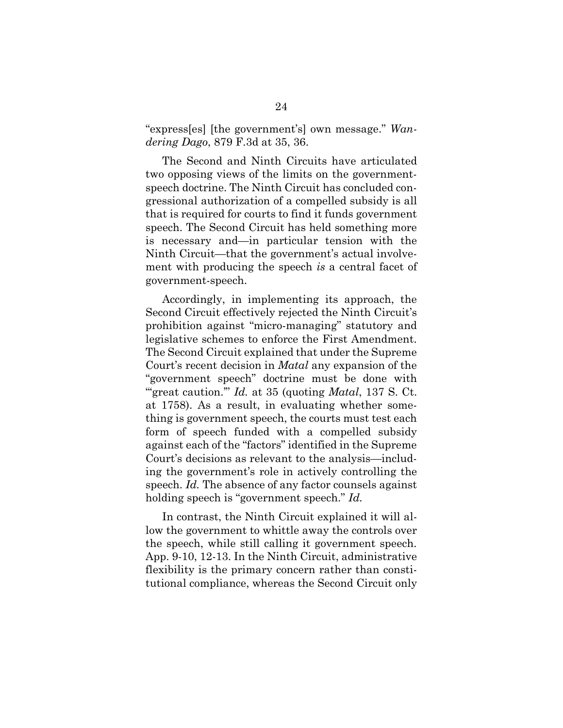"express[es] [the government's] own message." *Wandering Dago*, 879 F.3d at 35, 36.

The Second and Ninth Circuits have articulated two opposing views of the limits on the governmentspeech doctrine. The Ninth Circuit has concluded congressional authorization of a compelled subsidy is all that is required for courts to find it funds government speech. The Second Circuit has held something more is necessary and—in particular tension with the Ninth Circuit—that the government's actual involvement with producing the speech *is* a central facet of government-speech.

Accordingly, in implementing its approach, the Second Circuit effectively rejected the Ninth Circuit's prohibition against "micro-managing" statutory and legislative schemes to enforce the First Amendment. The Second Circuit explained that under the Supreme Court's recent decision in *Matal* any expansion of the "government speech" doctrine must be done with "great caution." *Id.* at 35 (quoting *Matal*, 137 S. Ct. at 1758). As a result, in evaluating whether something is government speech, the courts must test each form of speech funded with a compelled subsidy against each of the "factors" identified in the Supreme Court's decisions as relevant to the analysis—including the government's role in actively controlling the speech. *Id.* The absence of any factor counsels against holding speech is "government speech." *Id.*

In contrast, the Ninth Circuit explained it will allow the government to whittle away the controls over the speech, while still calling it government speech. App. 9-10, 12-13. In the Ninth Circuit, administrative flexibility is the primary concern rather than constitutional compliance, whereas the Second Circuit only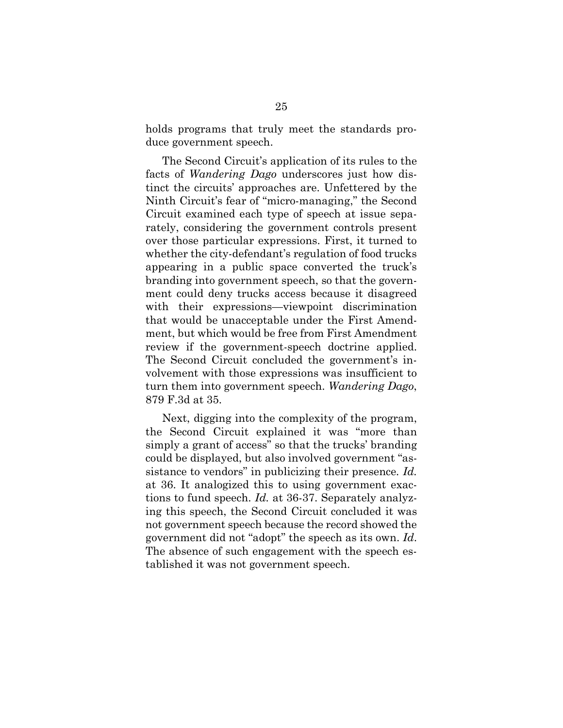holds programs that truly meet the standards produce government speech.

The Second Circuit's application of its rules to the facts of *Wandering Dago* underscores just how distinct the circuits' approaches are. Unfettered by the Ninth Circuit's fear of "micro-managing," the Second Circuit examined each type of speech at issue separately, considering the government controls present over those particular expressions. First, it turned to whether the city-defendant's regulation of food trucks appearing in a public space converted the truck's branding into government speech, so that the government could deny trucks access because it disagreed with their expressions—viewpoint discrimination that would be unacceptable under the First Amendment, but which would be free from First Amendment review if the government-speech doctrine applied. The Second Circuit concluded the government's involvement with those expressions was insufficient to turn them into government speech. *Wandering Dago*, 879 F.3d at 35.

Next, digging into the complexity of the program, the Second Circuit explained it was "more than simply a grant of access" so that the trucks' branding could be displayed, but also involved government "assistance to vendors" in publicizing their presence*. Id.*  at 36. It analogized this to using government exactions to fund speech. *Id.* at 36-37. Separately analyzing this speech, the Second Circuit concluded it was not government speech because the record showed the government did not "adopt" the speech as its own. *Id*. The absence of such engagement with the speech established it was not government speech.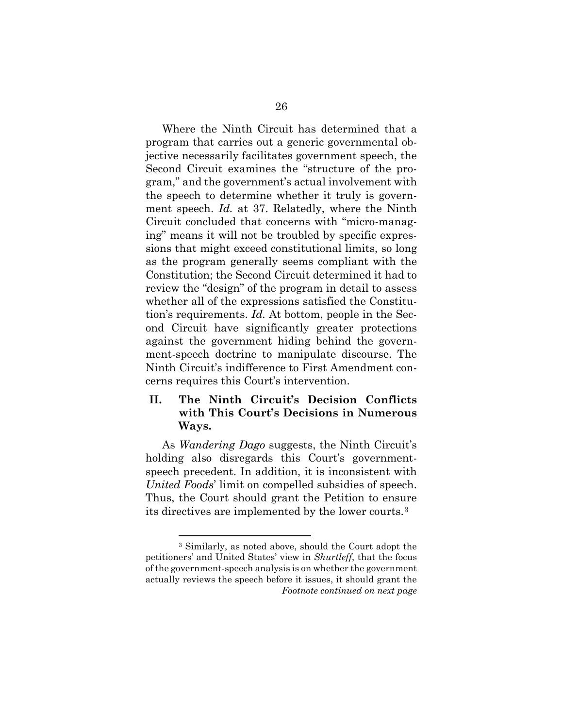Where the Ninth Circuit has determined that a program that carries out a generic governmental objective necessarily facilitates government speech, the Second Circuit examines the "structure of the program," and the government's actual involvement with the speech to determine whether it truly is government speech. *Id.* at 37. Relatedly, where the Ninth Circuit concluded that concerns with "micro-managing" means it will not be troubled by specific expressions that might exceed constitutional limits, so long as the program generally seems compliant with the Constitution; the Second Circuit determined it had to review the "design" of the program in detail to assess whether all of the expressions satisfied the Constitution's requirements. *Id.* At bottom, people in the Second Circuit have significantly greater protections against the government hiding behind the government-speech doctrine to manipulate discourse. The Ninth Circuit's indifference to First Amendment concerns requires this Court's intervention.

### **II. The Ninth Circuit's Decision Conflicts with This Court's Decisions in Numerous Ways.**

As *Wandering Dago* suggests, the Ninth Circuit's holding also disregards this Court's governmentspeech precedent. In addition, it is inconsistent with *United Foods*' limit on compelled subsidies of speech. Thus, the Court should grant the Petition to ensure its directives are implemented by the lower courts.[3](#page-35-0)

<span id="page-35-0"></span><sup>3</sup> Similarly, as noted above, should the Court adopt the petitioners' and United States' view in *Shurtleff*, that the focus of the government-speech analysis is on whether the government actually reviews the speech before it issues, it should grant the *Footnote continued on next page*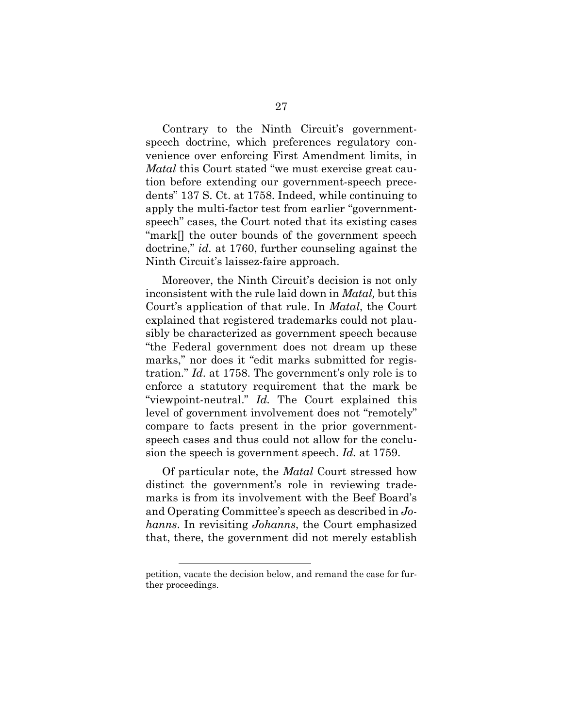Contrary to the Ninth Circuit's governmentspeech doctrine, which preferences regulatory convenience over enforcing First Amendment limits, in *Matal* this Court stated "we must exercise great caution before extending our government-speech precedents" 137 S. Ct. at 1758. Indeed, while continuing to apply the multi-factor test from earlier "governmentspeech" cases, the Court noted that its existing cases "mark[] the outer bounds of the government speech doctrine," *id.* at 1760, further counseling against the Ninth Circuit's laissez-faire approach.

Moreover, the Ninth Circuit's decision is not only inconsistent with the rule laid down in *Matal,* but this Court's application of that rule. In *Matal*, the Court explained that registered trademarks could not plausibly be characterized as government speech because "the Federal government does not dream up these marks," nor does it "edit marks submitted for registration." *Id*. at 1758. The government's only role is to enforce a statutory requirement that the mark be "viewpoint-neutral." *Id.* The Court explained this level of government involvement does not "remotely" compare to facts present in the prior governmentspeech cases and thus could not allow for the conclusion the speech is government speech. *Id.* at 1759.

Of particular note, the *Matal* Court stressed how distinct the government's role in reviewing trademarks is from its involvement with the Beef Board's and Operating Committee's speech as described in *Johanns*. In revisiting *Johanns*, the Court emphasized that, there, the government did not merely establish

petition, vacate the decision below, and remand the case for further proceedings.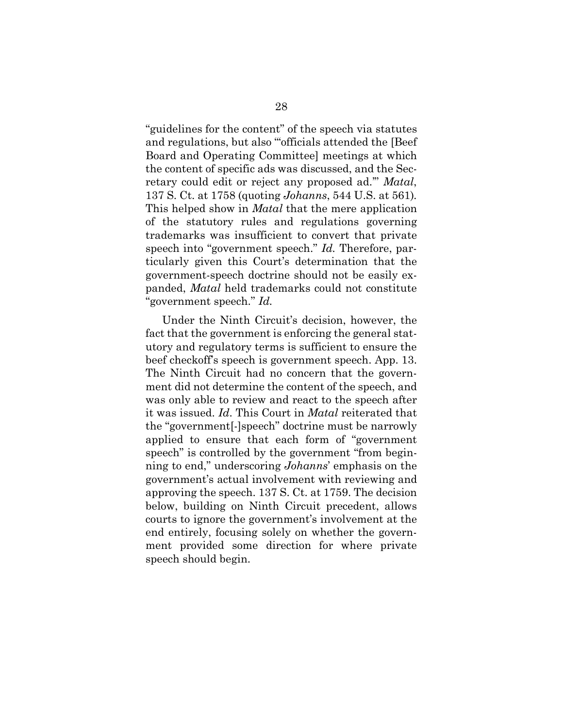"guidelines for the content" of the speech via statutes and regulations, but also "officials attended the [Beef Board and Operating Committee] meetings at which the content of specific ads was discussed, and the Secretary could edit or reject any proposed ad.'" *Matal*, 137 S. Ct. at 1758 (quoting *Johanns*, 544 U.S. at 561)*.*  This helped show in *Matal* that the mere application of the statutory rules and regulations governing trademarks was insufficient to convert that private speech into "government speech." *Id.* Therefore, particularly given this Court's determination that the government-speech doctrine should not be easily expanded, *Matal* held trademarks could not constitute "government speech." *Id.* 

Under the Ninth Circuit's decision, however, the fact that the government is enforcing the general statutory and regulatory terms is sufficient to ensure the beef checkoff's speech is government speech. App. 13. The Ninth Circuit had no concern that the government did not determine the content of the speech, and was only able to review and react to the speech after it was issued. *Id*. This Court in *Matal* reiterated that the "government[-]speech" doctrine must be narrowly applied to ensure that each form of "government speech" is controlled by the government "from beginning to end," underscoring *Johanns*' emphasis on the government's actual involvement with reviewing and approving the speech. 137 S. Ct. at 1759. The decision below, building on Ninth Circuit precedent, allows courts to ignore the government's involvement at the end entirely, focusing solely on whether the government provided some direction for where private speech should begin.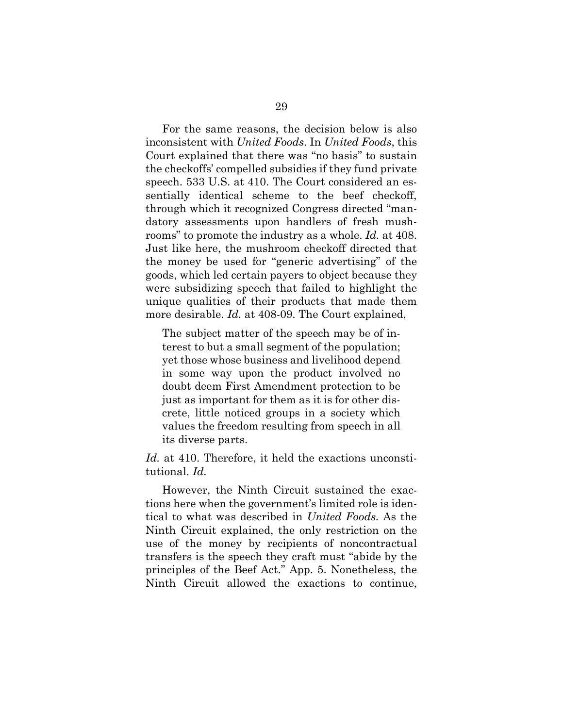For the same reasons, the decision below is also inconsistent with *United Foods*. In *United Foods*, this Court explained that there was "no basis" to sustain the checkoffs' compelled subsidies if they fund private speech. 533 U.S. at 410. The Court considered an essentially identical scheme to the beef checkoff, through which it recognized Congress directed "mandatory assessments upon handlers of fresh mushrooms" to promote the industry as a whole. *Id.* at 408. Just like here, the mushroom checkoff directed that the money be used for "generic advertising" of the goods, which led certain payers to object because they were subsidizing speech that failed to highlight the unique qualities of their products that made them more desirable. *Id.* at 408-09. The Court explained,

The subject matter of the speech may be of interest to but a small segment of the population; yet those whose business and livelihood depend in some way upon the product involved no doubt deem First Amendment protection to be just as important for them as it is for other discrete, little noticed groups in a society which values the freedom resulting from speech in all its diverse parts.

Id. at 410. Therefore, it held the exactions unconstitutional. *Id.*

However, the Ninth Circuit sustained the exactions here when the government's limited role is identical to what was described in *United Foods.* As the Ninth Circuit explained, the only restriction on the use of the money by recipients of noncontractual transfers is the speech they craft must "abide by the principles of the Beef Act." App. 5. Nonetheless, the Ninth Circuit allowed the exactions to continue,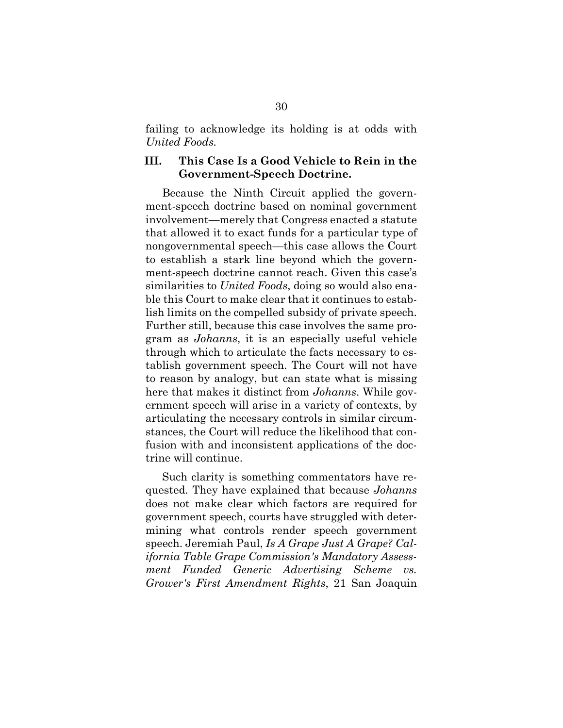failing to acknowledge its holding is at odds with *United Foods.*

#### **III. This Case Is a Good Vehicle to Rein in the Government-Speech Doctrine.**

Because the Ninth Circuit applied the government-speech doctrine based on nominal government involvement—merely that Congress enacted a statute that allowed it to exact funds for a particular type of nongovernmental speech—this case allows the Court to establish a stark line beyond which the government-speech doctrine cannot reach. Given this case's similarities to *United Foods*, doing so would also enable this Court to make clear that it continues to establish limits on the compelled subsidy of private speech. Further still, because this case involves the same program as *Johanns*, it is an especially useful vehicle through which to articulate the facts necessary to establish government speech. The Court will not have to reason by analogy, but can state what is missing here that makes it distinct from *Johanns*. While government speech will arise in a variety of contexts, by articulating the necessary controls in similar circumstances, the Court will reduce the likelihood that confusion with and inconsistent applications of the doctrine will continue.

Such clarity is something commentators have requested. They have explained that because *Johanns* does not make clear which factors are required for government speech, courts have struggled with determining what controls render speech government speech. Jeremiah Paul, *Is A Grape Just A Grape? California Table Grape Commission's Mandatory Assessment Funded Generic Advertising Scheme vs. Grower's First Amendment Rights*, 21 San Joaquin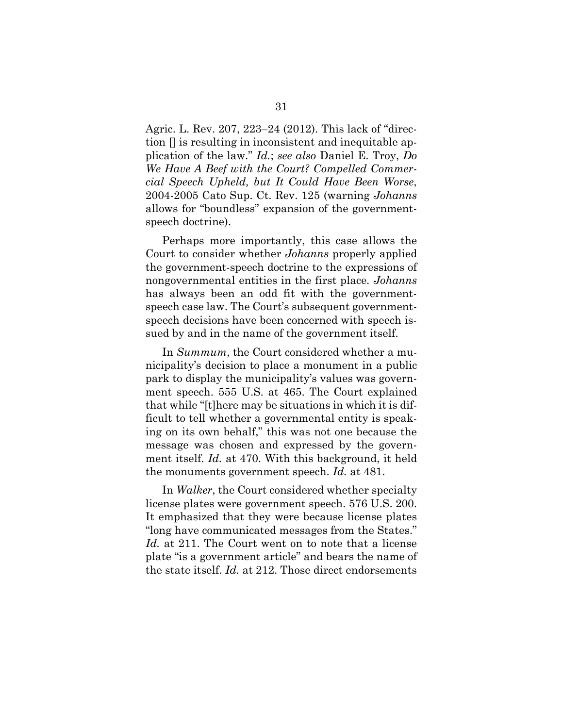Agric. L. Rev. 207, 223–24 (2012). This lack of "direction [] is resulting in inconsistent and inequitable application of the law." *Id.*; *see also* Daniel E. Troy, *Do We Have A Beef with the Court? Compelled Commercial Speech Upheld, but It Could Have Been Worse*, 2004-2005 Cato Sup. Ct. Rev. 125 (warning *Johanns*  allows for "boundless" expansion of the governmentspeech doctrine).

Perhaps more importantly, this case allows the Court to consider whether *Johanns* properly applied the government-speech doctrine to the expressions of nongovernmental entities in the first place. *Johanns* has always been an odd fit with the governmentspeech case law. The Court's subsequent governmentspeech decisions have been concerned with speech issued by and in the name of the government itself.

In *Summum*, the Court considered whether a municipality's decision to place a monument in a public park to display the municipality's values was government speech. 555 U.S. at 465. The Court explained that while "[t]here may be situations in which it is difficult to tell whether a governmental entity is speaking on its own behalf," this was not one because the message was chosen and expressed by the government itself. *Id.* at 470. With this background, it held the monuments government speech. *Id.* at 481.

In *Walker*, the Court considered whether specialty license plates were government speech. 576 U.S. 200. It emphasized that they were because license plates "long have communicated messages from the States." *Id.* at 211. The Court went on to note that a license plate "is a government article" and bears the name of the state itself. *Id.* at 212. Those direct endorsements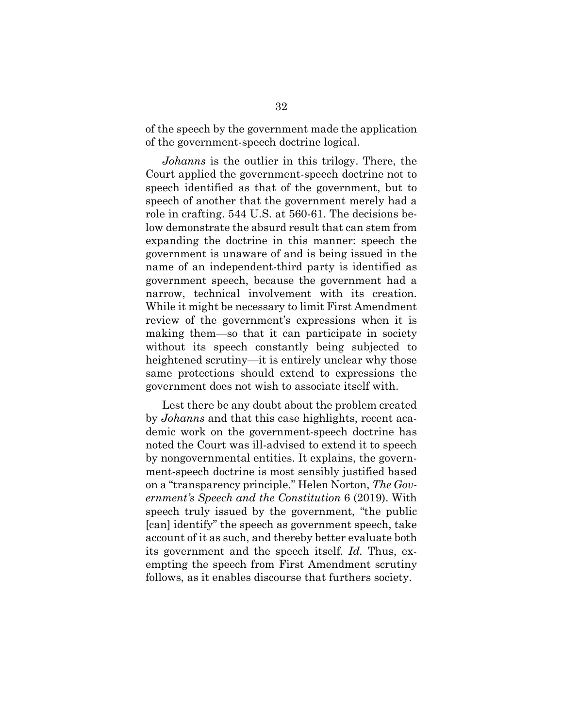of the speech by the government made the application of the government-speech doctrine logical.

*Johanns* is the outlier in this trilogy. There, the Court applied the government-speech doctrine not to speech identified as that of the government, but to speech of another that the government merely had a role in crafting. 544 U.S. at 560-61. The decisions below demonstrate the absurd result that can stem from expanding the doctrine in this manner: speech the government is unaware of and is being issued in the name of an independent-third party is identified as government speech, because the government had a narrow, technical involvement with its creation. While it might be necessary to limit First Amendment review of the government's expressions when it is making them—so that it can participate in society without its speech constantly being subjected to heightened scrutiny—it is entirely unclear why those same protections should extend to expressions the government does not wish to associate itself with.

Lest there be any doubt about the problem created by *Johanns* and that this case highlights, recent academic work on the government-speech doctrine has noted the Court was ill-advised to extend it to speech by nongovernmental entities. It explains, the government-speech doctrine is most sensibly justified based on a "transparency principle." Helen Norton, *The Government's Speech and the Constitution* 6 (2019). With speech truly issued by the government, "the public [can] identify" the speech as government speech, take account of it as such, and thereby better evaluate both its government and the speech itself. *Id.* Thus, exempting the speech from First Amendment scrutiny follows, as it enables discourse that furthers society.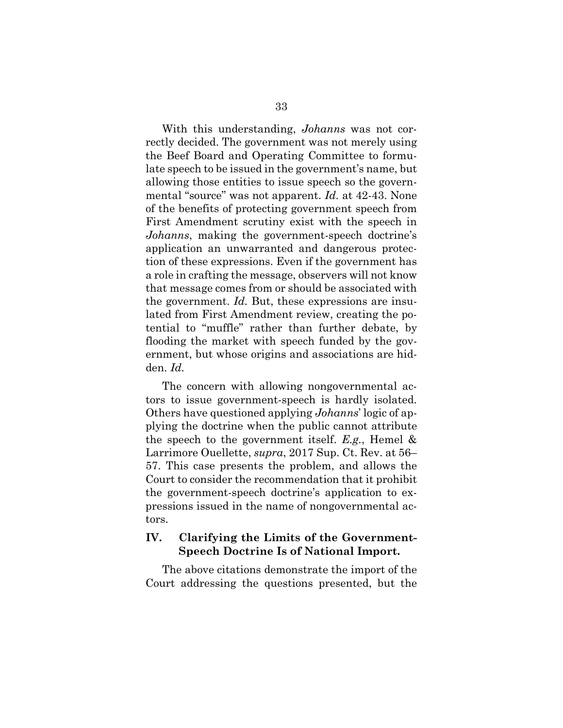With this understanding, *Johanns* was not correctly decided. The government was not merely using the Beef Board and Operating Committee to formulate speech to be issued in the government's name, but allowing those entities to issue speech so the governmental "source" was not apparent. *Id.* at 42-43. None of the benefits of protecting government speech from First Amendment scrutiny exist with the speech in *Johanns*, making the government-speech doctrine's application an unwarranted and dangerous protection of these expressions. Even if the government has a role in crafting the message, observers will not know that message comes from or should be associated with the government. *Id.* But, these expressions are insulated from First Amendment review, creating the potential to "muffle" rather than further debate, by flooding the market with speech funded by the government, but whose origins and associations are hidden. *Id.* 

The concern with allowing nongovernmental actors to issue government-speech is hardly isolated. Others have questioned applying *Johanns*' logic of applying the doctrine when the public cannot attribute the speech to the government itself. *E.g.*, Hemel & Larrimore Ouellette, *supra*, 2017 Sup. Ct. Rev. at 56– 57. This case presents the problem, and allows the Court to consider the recommendation that it prohibit the government-speech doctrine's application to expressions issued in the name of nongovernmental actors.

#### **IV. Clarifying the Limits of the Government-Speech Doctrine Is of National Import.**

The above citations demonstrate the import of the Court addressing the questions presented, but the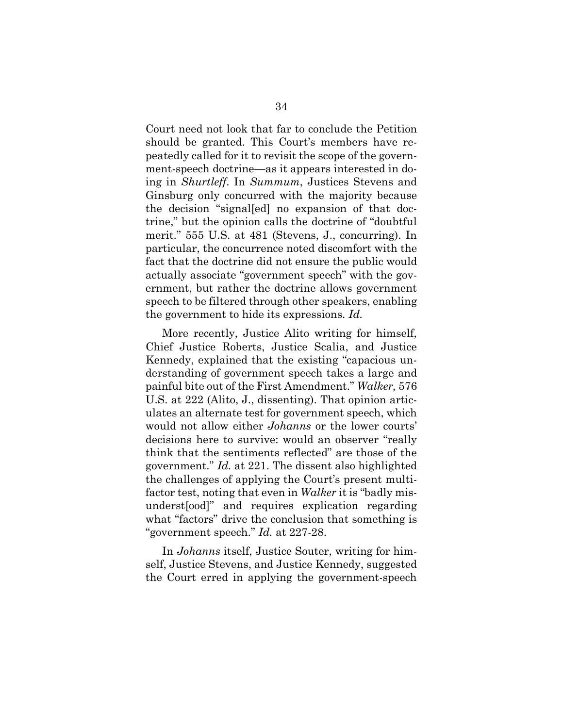Court need not look that far to conclude the Petition should be granted. This Court's members have repeatedly called for it to revisit the scope of the government-speech doctrine—as it appears interested in doing in *Shurtleff*. In *Summum*, Justices Stevens and Ginsburg only concurred with the majority because the decision "signal[ed] no expansion of that doctrine," but the opinion calls the doctrine of "doubtful merit." 555 U.S. at 481 (Stevens, J., concurring). In particular, the concurrence noted discomfort with the fact that the doctrine did not ensure the public would actually associate "government speech" with the government, but rather the doctrine allows government speech to be filtered through other speakers, enabling the government to hide its expressions. *Id.* 

More recently, Justice Alito writing for himself, Chief Justice Roberts, Justice Scalia, and Justice Kennedy, explained that the existing "capacious understanding of government speech takes a large and painful bite out of the First Amendment." *Walker,* 576 U.S. at 222 (Alito, J., dissenting). That opinion articulates an alternate test for government speech, which would not allow either *Johanns* or the lower courts' decisions here to survive: would an observer "really think that the sentiments reflected" are those of the government." *Id.* at 221. The dissent also highlighted the challenges of applying the Court's present multifactor test, noting that even in *Walker* it is "badly misunderst[ood]" and requires explication regarding what "factors" drive the conclusion that something is "government speech." *Id.* at 227-28.

In *Johanns* itself, Justice Souter, writing for himself, Justice Stevens, and Justice Kennedy, suggested the Court erred in applying the government-speech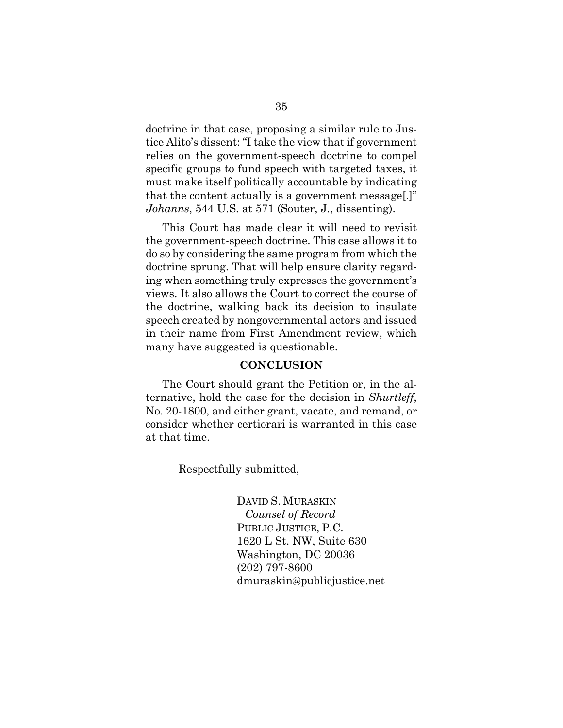doctrine in that case, proposing a similar rule to Justice Alito's dissent: "I take the view that if government relies on the government-speech doctrine to compel specific groups to fund speech with targeted taxes, it must make itself politically accountable by indicating that the content actually is a government message[.]" *Johanns*, 544 U.S. at 571 (Souter, J., dissenting).

This Court has made clear it will need to revisit the government-speech doctrine. This case allows it to do so by considering the same program from which the doctrine sprung. That will help ensure clarity regarding when something truly expresses the government's views. It also allows the Court to correct the course of the doctrine, walking back its decision to insulate speech created by nongovernmental actors and issued in their name from First Amendment review, which many have suggested is questionable.

#### **CONCLUSION**

The Court should grant the Petition or, in the alternative, hold the case for the decision in *Shurtleff*, No. 20-1800, and either grant, vacate, and remand, or consider whether certiorari is warranted in this case at that time.

Respectfully submitted,

DAVID S. MURASKIN *Counsel of Record* PUBLIC JUSTICE, P.C. 1620 L St. NW, Suite 630 Washington, DC 20036 (202) 797-8600 dmuraskin@publicjustice.net